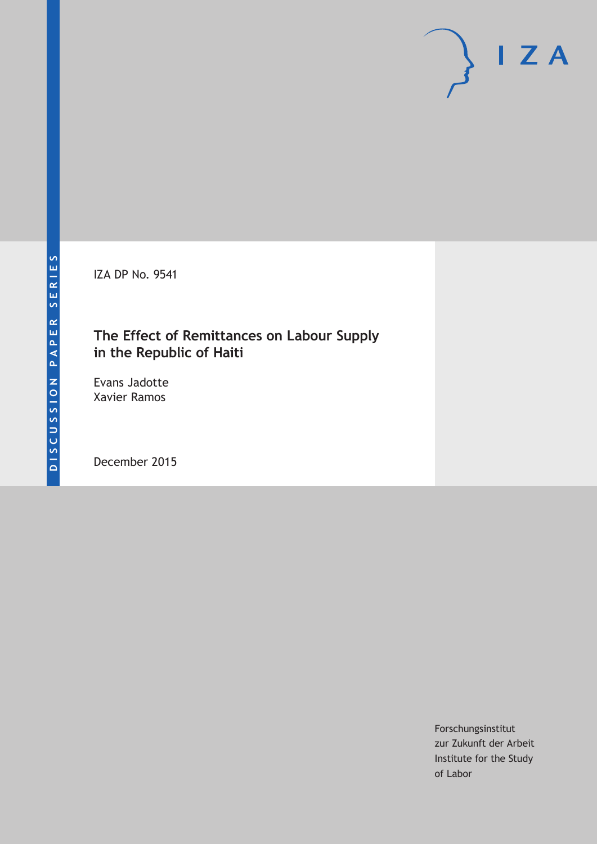IZA DP No. 9541

### **The Effect of Remittances on Labour Supply in the Republic of Haiti**

Evans Jadotte Xavier Ramos

December 2015

Forschungsinstitut zur Zukunft der Arbeit Institute for the Study of Labor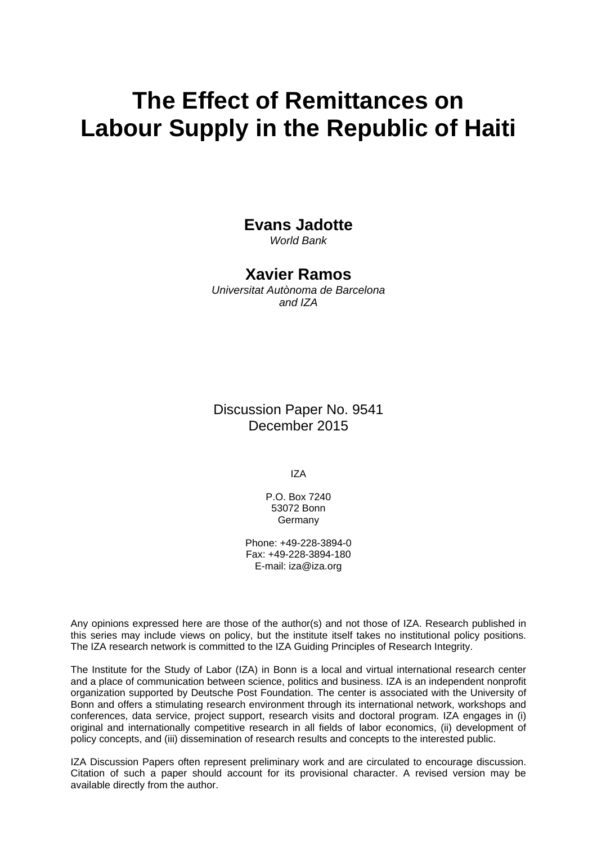# **The Effect of Remittances on Labour Supply in the Republic of Haiti**

### **Evans Jadotte**

*World Bank* 

### **Xavier Ramos**

*Universitat Autònoma de Barcelona and IZA* 

Discussion Paper No. 9541 December 2015

IZA

P.O. Box 7240 53072 Bonn **Germany** 

Phone: +49-228-3894-0 Fax: +49-228-3894-180 E-mail: iza@iza.org

Any opinions expressed here are those of the author(s) and not those of IZA. Research published in this series may include views on policy, but the institute itself takes no institutional policy positions. The IZA research network is committed to the IZA Guiding Principles of Research Integrity.

The Institute for the Study of Labor (IZA) in Bonn is a local and virtual international research center and a place of communication between science, politics and business. IZA is an independent nonprofit organization supported by Deutsche Post Foundation. The center is associated with the University of Bonn and offers a stimulating research environment through its international network, workshops and conferences, data service, project support, research visits and doctoral program. IZA engages in (i) original and internationally competitive research in all fields of labor economics, (ii) development of policy concepts, and (iii) dissemination of research results and concepts to the interested public.

IZA Discussion Papers often represent preliminary work and are circulated to encourage discussion. Citation of such a paper should account for its provisional character. A revised version may be available directly from the author.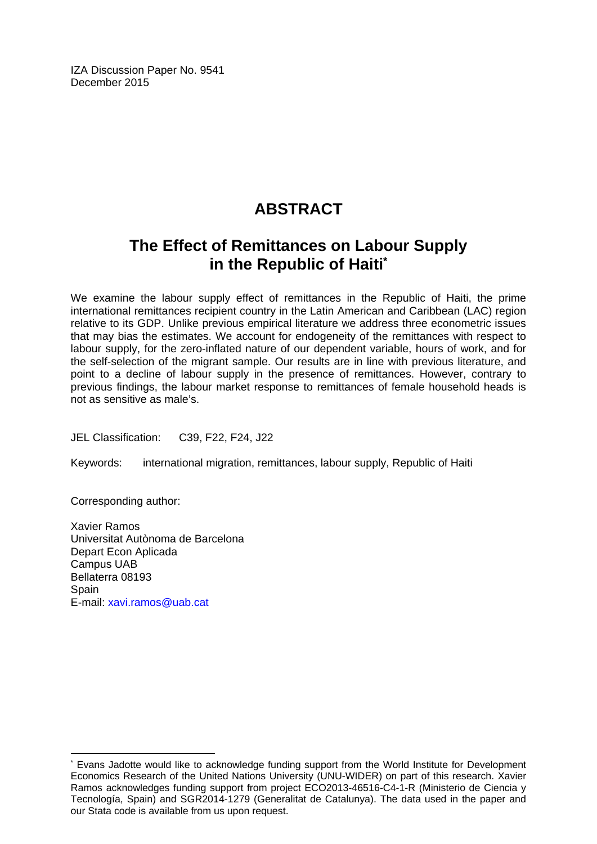IZA Discussion Paper No. 9541 December 2015

# **ABSTRACT**

# **The Effect of Remittances on Labour Supply in the Republic of Haiti\***

We examine the labour supply effect of remittances in the Republic of Haiti, the prime international remittances recipient country in the Latin American and Caribbean (LAC) region relative to its GDP. Unlike previous empirical literature we address three econometric issues that may bias the estimates. We account for endogeneity of the remittances with respect to labour supply, for the zero-inflated nature of our dependent variable, hours of work, and for the self-selection of the migrant sample. Our results are in line with previous literature, and point to a decline of labour supply in the presence of remittances. However, contrary to previous findings, the labour market response to remittances of female household heads is not as sensitive as male's.

JEL Classification: C39, F22, F24, J22

Keywords: international migration, remittances, labour supply, Republic of Haiti

Corresponding author:

 $\overline{\phantom{a}}$ 

Xavier Ramos Universitat Autònoma de Barcelona Depart Econ Aplicada Campus UAB Bellaterra 08193 **Spain** E-mail: xavi.ramos@uab.cat

<sup>\*</sup> Evans Jadotte would like to acknowledge funding support from the World Institute for Development Economics Research of the United Nations University (UNU-WIDER) on part of this research. Xavier Ramos acknowledges funding support from project ECO2013-46516-C4-1-R (Ministerio de Ciencia v Tecnología, Spain) and SGR2014-1279 (Generalitat de Catalunya). The data used in the paper and our Stata code is available from us upon request.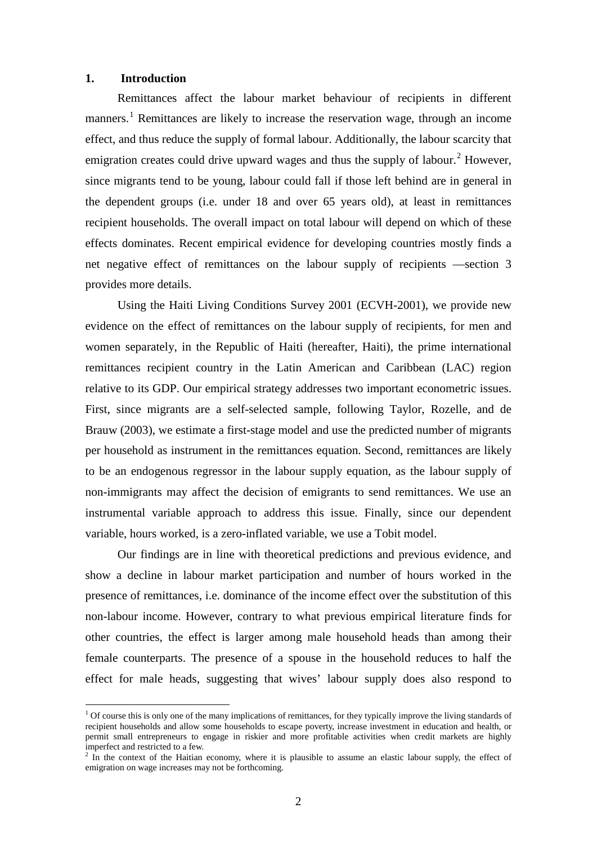#### **1. Introduction**

Remittances affect the labour market behaviour of recipients in different manners.<sup>[1](#page-3-0)</sup> Remittances are likely to increase the reservation wage, through an income effect, and thus reduce the supply of formal labour. Additionally, the labour scarcity that emigration creates could drive upward wages and thus the supply of labour.<sup>[2](#page-3-1)</sup> However, since migrants tend to be young, labour could fall if those left behind are in general in the dependent groups (i.e. under 18 and over 65 years old), at least in remittances recipient households. The overall impact on total labour will depend on which of these effects dominates. Recent empirical evidence for developing countries mostly finds a net negative effect of remittances on the labour supply of recipients —section 3 provides more details.

Using the Haiti Living Conditions Survey 2001 (ECVH-2001), we provide new evidence on the effect of remittances on the labour supply of recipients, for men and women separately, in the Republic of Haiti (hereafter, Haiti), the prime international remittances recipient country in the Latin American and Caribbean (LAC) region relative to its GDP. Our empirical strategy addresses two important econometric issues. First, since migrants are a self-selected sample, following Taylor, Rozelle, and de Brauw (2003), we estimate a first-stage model and use the predicted number of migrants per household as instrument in the remittances equation. Second, remittances are likely to be an endogenous regressor in the labour supply equation, as the labour supply of non-immigrants may affect the decision of emigrants to send remittances. We use an instrumental variable approach to address this issue. Finally, since our dependent variable, hours worked, is a zero-inflated variable, we use a Tobit model.

Our findings are in line with theoretical predictions and previous evidence, and show a decline in labour market participation and number of hours worked in the presence of remittances, i.e. dominance of the income effect over the substitution of this non-labour income. However, contrary to what previous empirical literature finds for other countries, the effect is larger among male household heads than among their female counterparts. The presence of a spouse in the household reduces to half the effect for male heads, suggesting that wives' labour supply does also respond to

<span id="page-3-0"></span> $<sup>1</sup>$  Of course this is only one of the many implications of remittances, for they typically improve the living standards of</sup> recipient households and allow some households to escape poverty, increase investment in education and health, or permit small entrepreneurs to engage in riskier and more profitable activities when credit markets are highly imperfect and restricted to a few.

<span id="page-3-1"></span> $2\text{ m}$  the context of the Haitian economy, where it is plausible to assume an elastic labour supply, the effect of emigration on wage increases may not be forthcoming.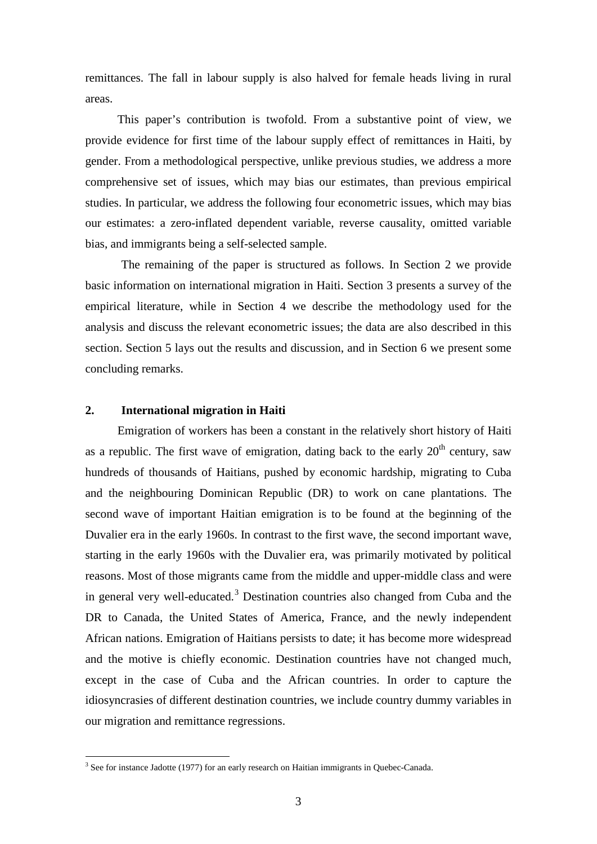remittances. The fall in labour supply is also halved for female heads living in rural areas.

This paper's contribution is twofold. From a substantive point of view, we provide evidence for first time of the labour supply effect of remittances in Haiti, by gender. From a methodological perspective, unlike previous studies, we address a more comprehensive set of issues, which may bias our estimates, than previous empirical studies. In particular, we address the following four econometric issues, which may bias our estimates: a zero-inflated dependent variable, reverse causality, omitted variable bias, and immigrants being a self-selected sample.

The remaining of the paper is structured as follows. In Section 2 we provide basic information on international migration in Haiti. Section 3 presents a survey of the empirical literature, while in Section 4 we describe the methodology used for the analysis and discuss the relevant econometric issues; the data are also described in this section. Section 5 lays out the results and discussion, and in Section 6 we present some concluding remarks.

#### **2. International migration in Haiti**

Emigration of workers has been a constant in the relatively short history of Haiti as a republic. The first wave of emigration, dating back to the early  $20<sup>th</sup>$  century, saw hundreds of thousands of Haitians, pushed by economic hardship, migrating to Cuba and the neighbouring Dominican Republic (DR) to work on cane plantations. The second wave of important Haitian emigration is to be found at the beginning of the Duvalier era in the early 1960s. In contrast to the first wave, the second important wave, starting in the early 1960s with the Duvalier era, was primarily motivated by political reasons. Most of those migrants came from the middle and upper-middle class and were in general very well-educated.<sup>[3](#page-4-0)</sup> Destination countries also changed from Cuba and the DR to Canada, the United States of America, France, and the newly independent African nations. Emigration of Haitians persists to date; it has become more widespread and the motive is chiefly economic. Destination countries have not changed much, except in the case of Cuba and the African countries. In order to capture the idiosyncrasies of different destination countries, we include country dummy variables in our migration and remittance regressions.

<span id="page-4-0"></span> $3$  See for instance Jadotte (1977) for an early research on Haitian immigrants in Quebec-Canada.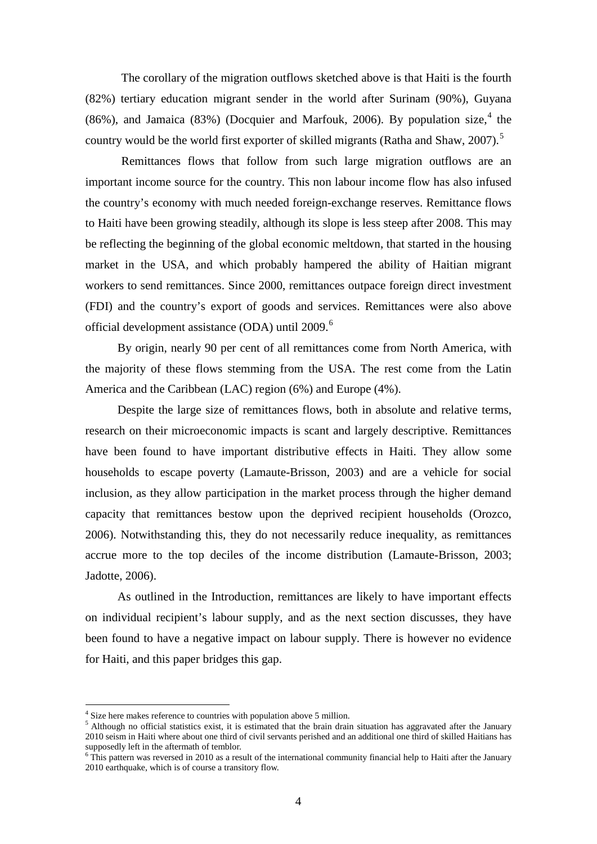The corollary of the migration outflows sketched above is that Haiti is the fourth (82%) tertiary education migrant sender in the world after Surinam (90%), Guyana (86%), and Jamaica (83%) (Docquier and Marfouk, 2006). By population size, $4$  the country would be the world first exporter of skilled migrants (Ratha and Shaw, 2007).<sup>[5](#page-5-1)</sup>

Remittances flows that follow from such large migration outflows are an important income source for the country. This non labour income flow has also infused the country's economy with much needed foreign-exchange reserves. Remittance flows to Haiti have been growing steadily, although its slope is less steep after 2008. This may be reflecting the beginning of the global economic meltdown, that started in the housing market in the USA, and which probably hampered the ability of Haitian migrant workers to send remittances. Since 2000, remittances outpace foreign direct investment (FDI) and the country's export of goods and services. Remittances were also above official development assistance (ODA) until 2009.[6](#page-5-2)

By origin, nearly 90 per cent of all remittances come from North America, with the majority of these flows stemming from the USA. The rest come from the Latin America and the Caribbean (LAC) region (6%) and Europe (4%).

Despite the large size of remittances flows, both in absolute and relative terms, research on their microeconomic impacts is scant and largely descriptive. Remittances have been found to have important distributive effects in Haiti. They allow some households to escape poverty (Lamaute-Brisson, 2003) and are a vehicle for social inclusion, as they allow participation in the market process through the higher demand capacity that remittances bestow upon the deprived recipient households (Orozco, 2006). Notwithstanding this, they do not necessarily reduce inequality, as remittances accrue more to the top deciles of the income distribution (Lamaute-Brisson, 2003; Jadotte, 2006).

As outlined in the Introduction, remittances are likely to have important effects on individual recipient's labour supply, and as the next section discusses, they have been found to have a negative impact on labour supply. There is however no evidence for Haiti, and this paper bridges this gap.

Size here makes reference to countries with population above 5 million.

<span id="page-5-1"></span><span id="page-5-0"></span> $<sup>5</sup>$  Although no official statistics exist, it is estimated that the brain drain situation has aggravated after the January</sup> 2010 seism in Haiti where about one third of civil servants perished and an additional one third of skilled Haitians has supposedly left in the aftermath of temblor.

<span id="page-5-2"></span> $6$  This pattern was reversed in 2010 as a result of the international community financial help to Haiti after the January 2010 earthquake, which is of course a transitory flow.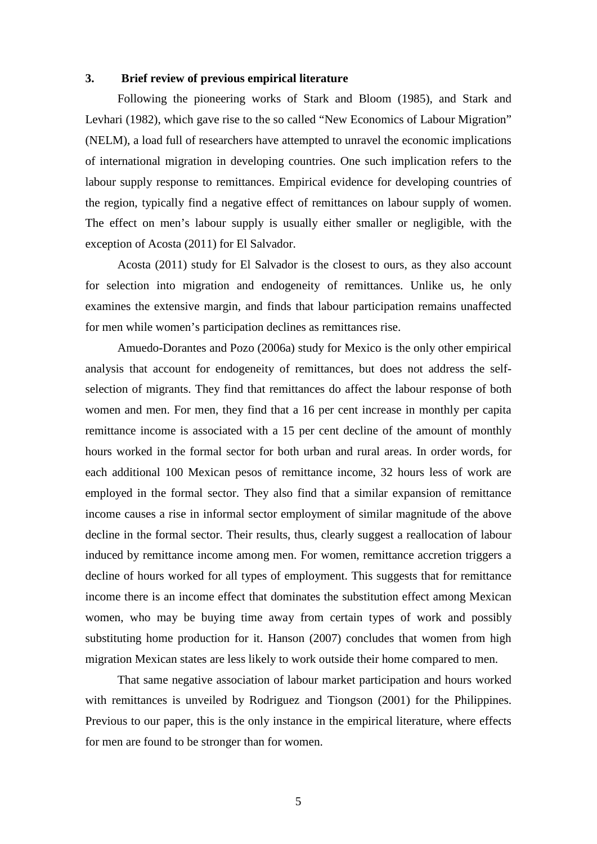#### **3. Brief review of previous empirical literature**

Following the pioneering works of Stark and Bloom (1985), and Stark and Levhari (1982), which gave rise to the so called "New Economics of Labour Migration" (NELM), a load full of researchers have attempted to unravel the economic implications of international migration in developing countries. One such implication refers to the labour supply response to remittances. Empirical evidence for developing countries of the region, typically find a negative effect of remittances on labour supply of women. The effect on men's labour supply is usually either smaller or negligible, with the exception of Acosta (2011) for El Salvador.

Acosta (2011) study for El Salvador is the closest to ours, as they also account for selection into migration and endogeneity of remittances. Unlike us, he only examines the extensive margin, and finds that labour participation remains unaffected for men while women's participation declines as remittances rise.

Amuedo-Dorantes and Pozo (2006a) study for Mexico is the only other empirical analysis that account for endogeneity of remittances, but does not address the selfselection of migrants. They find that remittances do affect the labour response of both women and men. For men, they find that a 16 per cent increase in monthly per capita remittance income is associated with a 15 per cent decline of the amount of monthly hours worked in the formal sector for both urban and rural areas. In order words, for each additional 100 Mexican pesos of remittance income, 32 hours less of work are employed in the formal sector. They also find that a similar expansion of remittance income causes a rise in informal sector employment of similar magnitude of the above decline in the formal sector. Their results, thus, clearly suggest a reallocation of labour induced by remittance income among men. For women, remittance accretion triggers a decline of hours worked for all types of employment. This suggests that for remittance income there is an income effect that dominates the substitution effect among Mexican women, who may be buying time away from certain types of work and possibly substituting home production for it. Hanson (2007) concludes that women from high migration Mexican states are less likely to work outside their home compared to men.

That same negative association of labour market participation and hours worked with remittances is unveiled by Rodriguez and Tiongson (2001) for the Philippines. Previous to our paper, this is the only instance in the empirical literature, where effects for men are found to be stronger than for women.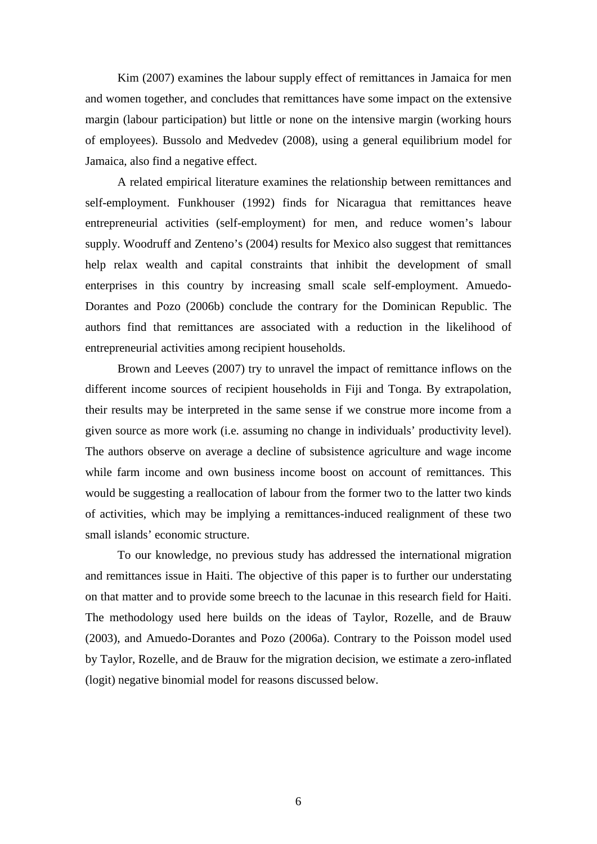Kim (2007) examines the labour supply effect of remittances in Jamaica for men and women together, and concludes that remittances have some impact on the extensive margin (labour participation) but little or none on the intensive margin (working hours of employees). Bussolo and Medvedev (2008), using a general equilibrium model for Jamaica, also find a negative effect.

A related empirical literature examines the relationship between remittances and self-employment. Funkhouser (1992) finds for Nicaragua that remittances heave entrepreneurial activities (self-employment) for men, and reduce women's labour supply. Woodruff and Zenteno's (2004) results for Mexico also suggest that remittances help relax wealth and capital constraints that inhibit the development of small enterprises in this country by increasing small scale self-employment. Amuedo-Dorantes and Pozo (2006b) conclude the contrary for the Dominican Republic. The authors find that remittances are associated with a reduction in the likelihood of entrepreneurial activities among recipient households.

Brown and Leeves (2007) try to unravel the impact of remittance inflows on the different income sources of recipient households in Fiji and Tonga. By extrapolation, their results may be interpreted in the same sense if we construe more income from a given source as more work (i.e. assuming no change in individuals' productivity level). The authors observe on average a decline of subsistence agriculture and wage income while farm income and own business income boost on account of remittances. This would be suggesting a reallocation of labour from the former two to the latter two kinds of activities, which may be implying a remittances-induced realignment of these two small islands' economic structure.

To our knowledge, no previous study has addressed the international migration and remittances issue in Haiti. The objective of this paper is to further our understating on that matter and to provide some breech to the lacunae in this research field for Haiti. The methodology used here builds on the ideas of Taylor, Rozelle, and de Brauw (2003), and Amuedo-Dorantes and Pozo (2006a). Contrary to the Poisson model used by Taylor, Rozelle, and de Brauw for the migration decision, we estimate a zero-inflated (logit) negative binomial model for reasons discussed below.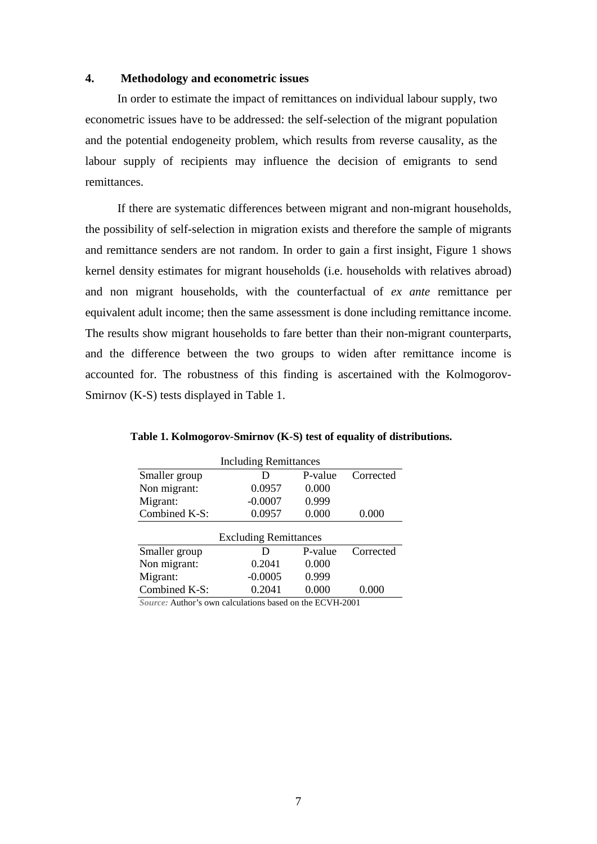#### **4. Methodology and econometric issues**

In order to estimate the impact of remittances on individual labour supply, two econometric issues have to be addressed: the self-selection of the migrant population and the potential endogeneity problem, which results from reverse causality, as the labour supply of recipients may influence the decision of emigrants to send remittances.

If there are systematic differences between migrant and non-migrant households, the possibility of self-selection in migration exists and therefore the sample of migrants and remittance senders are not random. In order to gain a first insight, Figure 1 shows kernel density estimates for migrant households (i.e. households with relatives abroad) and non migrant households, with the counterfactual of *ex ante* remittance per equivalent adult income; then the same assessment is done including remittance income. The results show migrant households to fare better than their non-migrant counterparts, and the difference between the two groups to widen after remittance income is accounted for. The robustness of this finding is ascertained with the Kolmogorov-Smirnov (K-S) tests displayed in Table 1.

| <b>Including Remittances</b> |                              |           |           |  |  |  |
|------------------------------|------------------------------|-----------|-----------|--|--|--|
| Smaller group                | D                            | P-value   | Corrected |  |  |  |
| Non migrant:                 | 0.0957                       | 0.000     |           |  |  |  |
| Migrant:                     | $-0.0007$                    | 0.999     |           |  |  |  |
| Combined K-S:                | 0.0957                       | 0.000     | 0.000     |  |  |  |
|                              | <b>Excluding Remittances</b> |           |           |  |  |  |
| Smaller group                | D                            | P-value   | Corrected |  |  |  |
| Non migrant:                 | 0.2041                       | 0.000     |           |  |  |  |
| Migrant:                     | $-0.0005$                    | 0.999     |           |  |  |  |
| Combined K-S:                | 0.2041                       | $0.000\,$ |           |  |  |  |

**Table 1. Kolmogorov-Smirnov (K-S) test of equality of distributions.**

*Source:* Author's own calculations based on the ECVH-2001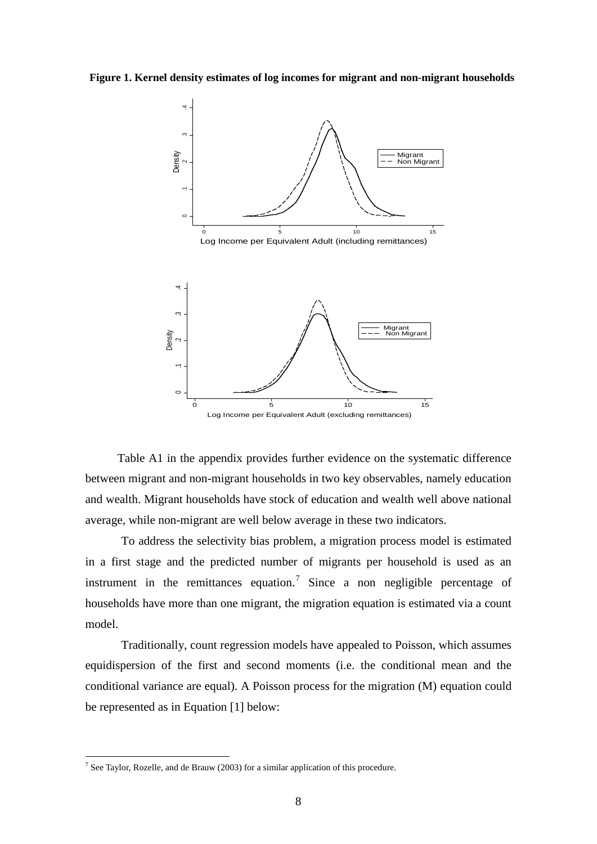**Figure 1. Kernel density estimates of log incomes for migrant and non-migrant households**



Table A1 in the appendix provides further evidence on the systematic difference between migrant and non-migrant households in two key observables, namely education and wealth. Migrant households have stock of education and wealth well above national average, while non-migrant are well below average in these two indicators.

To address the selectivity bias problem, a migration process model is estimated in a first stage and the predicted number of migrants per household is used as an instrument in the remittances equation.<sup>[7](#page-9-0)</sup> Since a non negligible percentage of households have more than one migrant, the migration equation is estimated via a count model.

Traditionally, count regression models have appealed to Poisson, which assumes equidispersion of the first and second moments (i.e. the conditional mean and the conditional variance are equal). A Poisson process for the migration (M) equation could be represented as in Equation [1] below:

<span id="page-9-0"></span><sup>&</sup>lt;sup>7</sup> See Taylor, Rozelle, and de Brauw (2003) for a similar application of this procedure.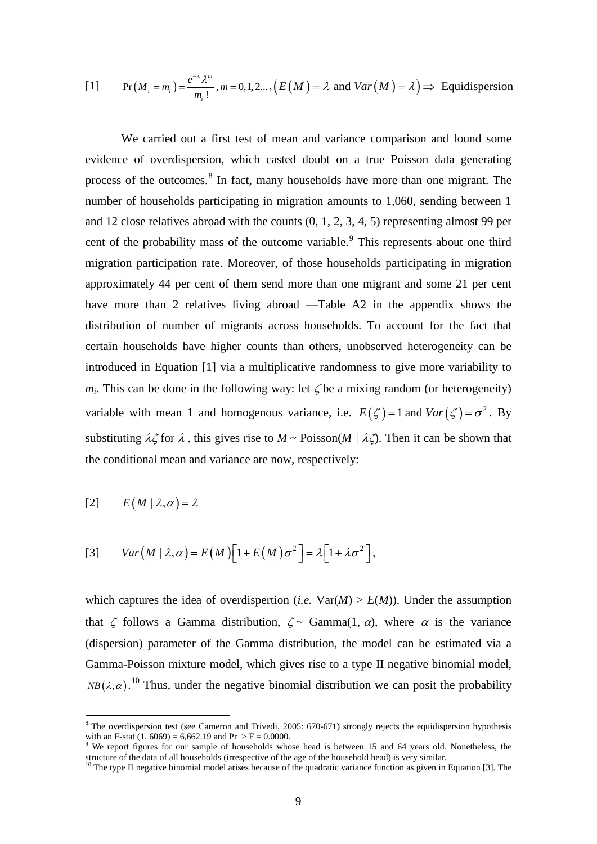[1] 
$$
\Pr(M_i = m_i) = \frac{e^{-\lambda} \lambda^m}{m_i!}, m = 0, 1, 2, \ldots, (E(M)) = \lambda \text{ and } Var(M) = \lambda \implies Equidispersion
$$

We carried out a first test of mean and variance comparison and found some evidence of overdispersion, which casted doubt on a true Poisson data generating process of the outcomes.[8](#page-10-0) In fact, many households have more than one migrant. The number of households participating in migration amounts to 1,060, sending between 1 and 12 close relatives abroad with the counts (0, 1, 2, 3, 4, 5) representing almost 99 per cent of the probability mass of the outcome variable.<sup>[9](#page-10-1)</sup> This represents about one third variable with mean 1 and homogenous variance, i.e.  $E(\zeta) = 1$  and  $Var(\zeta) = \sigma^2$ . By migration participation rate. Moreover, of those households participating in migration approximately 44 per cent of them send more than one migrant and some 21 per cent have more than 2 relatives living abroad —Table A2 in the appendix shows the distribution of number of migrants across households. To account for the fact that certain households have higher counts than others, unobserved heterogeneity can be introduced in Equation [1] via a multiplicative randomness to give more variability to  $m_i$ . This can be done in the following way: let  $\zeta$  be a mixing random (or heterogeneity) substituting  $\lambda \zeta$  for  $\lambda$ , this gives rise to  $M \sim \text{Poisson}(M / \lambda \zeta)$ . Then it can be shown that the conditional mean and variance are now, respectively:

$$
[2] \qquad E(M \mid \lambda, \alpha) = \lambda
$$

$$
[3] \qquad Var(M \mid \lambda, \alpha) = E(M) \Big[ 1 + E(M) \sigma^2 \Big] = \lambda \Big[ 1 + \lambda \sigma^2 \Big],
$$

which captures the idea of overdispertion (*i.e.*  $Var(M) > E(M)$ ). Under the assumption that  $\zeta$  follows a Gamma distribution,  $\zeta \sim \text{Gamma}(1, \alpha)$ , where  $\alpha$  is the variance (dispersion) parameter of the Gamma distribution, the model can be estimated via a Gamma-Poisson mixture model, which gives rise to a type II negative binomial model, *NB*( $\lambda$ , $\alpha$ ).<sup>[10](#page-10-2)</sup> Thus, under the negative binomial distribution we can posit the probability

<span id="page-10-0"></span><sup>&</sup>lt;sup>8</sup> The overdispersion test (see Cameron and Trivedi, 2005: 670-671) strongly rejects the equidispersion hypothesis with an F-stat  $(1, 6069) = 6,662.19$  and Pr > F = 0.0000.

<span id="page-10-1"></span><sup>&</sup>lt;sup>9</sup> We report figures for our sample of households whose head is between 15 and 64 years old. Nonetheless, the structure of the data of all households (irrespective of the age of the household head) is very similar.

<span id="page-10-2"></span> $10$  The type II negative binomial model arises because of the quadratic variance function as given in Equation [3]. The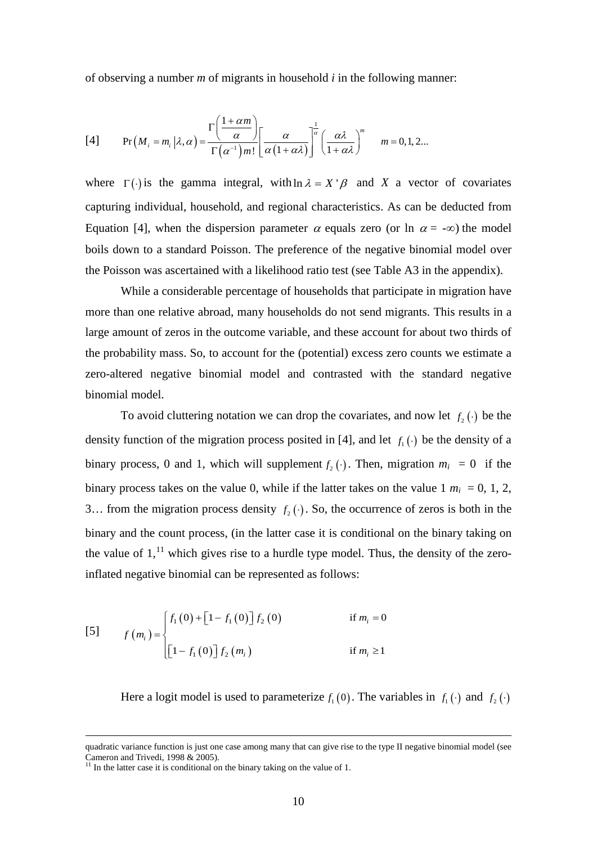of observing a number *m* of migrants in household *i* in the following manner:

[4] 
$$
\Pr(M_i = m_i | \lambda, \alpha) = \frac{\Gamma\left(\frac{1+\alpha m}{\alpha}\right)}{\Gamma(\alpha^{-1})m!} \left[\frac{\alpha}{\alpha(1+\alpha\lambda)}\right]^{\frac{1}{\alpha}} \left(\frac{\alpha\lambda}{1+\alpha\lambda}\right)^m \quad m = 0, 1, 2...
$$

where  $\Gamma(\cdot)$  is the gamma integral, with  $\ln \lambda = X' \beta$  and *X* a vector of covariates capturing individual, household, and regional characteristics. As can be deducted from Equation [4], when the dispersion parameter  $\alpha$  equals zero (or ln  $\alpha = -\infty$ ) the model boils down to a standard Poisson. The preference of the negative binomial model over the Poisson was ascertained with a likelihood ratio test (see Table A3 in the appendix).

While a considerable percentage of households that participate in migration have more than one relative abroad, many households do not send migrants. This results in a large amount of zeros in the outcome variable, and these account for about two thirds of the probability mass. So, to account for the (potential) excess zero counts we estimate a zero-altered negative binomial model and contrasted with the standard negative binomial model.

To avoid cluttering notation we can drop the covariates, and now let  $f_2(\cdot)$  be the density function of the migration process posited in [4], and let  $f_1(\cdot)$  be the density of a binary process, 0 and 1, which will supplement  $f_2(\cdot)$ . Then, migration  $m_i = 0$  if the binary process takes on the value 0, while if the latter takes on the value  $1 m<sub>i</sub> = 0, 1, 2,$ 3... from the migration process density  $f_2(\cdot)$ . So, the occurrence of zeros is both in the binary and the count process, (in the latter case it is conditional on the binary taking on the value of  $1<sup>11</sup>$  $1<sup>11</sup>$  $1<sup>11</sup>$  which gives rise to a hurdle type model. Thus, the density of the zeroinflated negative binomial can be represented as follows:

$$
\begin{bmatrix} 5 \end{bmatrix} \qquad f(m_i) = \begin{cases} f_1(0) + \left[1 - f_1(0)\right] f_2(0) & \text{if } m_i = 0 \\ \left[1 - f_1(0)\right] f_2(m_i) & \text{if } m_i \ge 1 \end{cases}
$$

Here a logit model is used to parameterize  $f_1(0)$ . The variables in  $f_1(\cdot)$  and  $f_2(\cdot)$ 

quadratic variance function is just one case among many that can give rise to the type II negative binomial model (see<br>Cameron and Trivedi, 1998 & 2005).

<span id="page-11-0"></span> $\frac{11}{11}$  In the latter case it is conditional on the binary taking on the value of 1.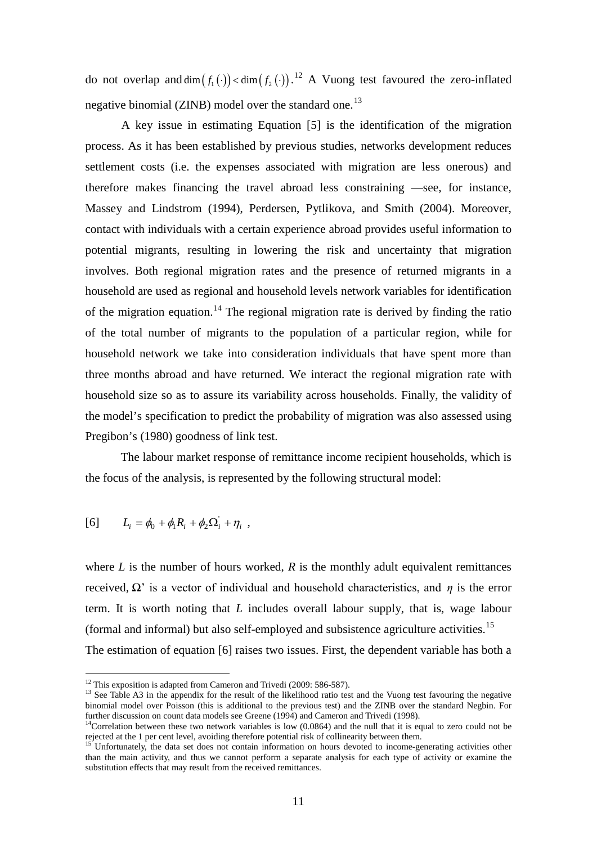do not overlap and dim  $(f_1(\cdot)) <$  dim  $(f_2(\cdot))$ .<sup>[12](#page-12-0)</sup> A Vuong test favoured the zero-inflated negative binomial (ZINB) model over the standard one.<sup>[13](#page-12-1)</sup>

A key issue in estimating Equation [5] is the identification of the migration process. As it has been established by previous studies, networks development reduces settlement costs (i.e. the expenses associated with migration are less onerous) and therefore makes financing the travel abroad less constraining —see, for instance, Massey and Lindstrom (1994), Perdersen, Pytlikova, and Smith (2004). Moreover, contact with individuals with a certain experience abroad provides useful information to potential migrants, resulting in lowering the risk and uncertainty that migration involves. Both regional migration rates and the presence of returned migrants in a household are used as regional and household levels network variables for identification of the migration equation.<sup>[14](#page-12-2)</sup> The regional migration rate is derived by finding the ratio of the total number of migrants to the population of a particular region, while for household network we take into consideration individuals that have spent more than three months abroad and have returned. We interact the regional migration rate with household size so as to assure its variability across households. Finally, the validity of the model's specification to predict the probability of migration was also assessed using Pregibon's (1980) goodness of link test.

The labour market response of remittance income recipient households, which is the focus of the analysis, is represented by the following structural model:

$$
[6] \qquad L_i = \phi_0 + \phi_1 R_i + \phi_2 \Omega_i + \eta_i ,
$$

where  $L$  is the number of hours worked,  $R$  is the monthly adult equivalent remittances received,  $Ω'$  is a vector of individual and household characteristics, and *η* is the error term. It is worth noting that *L* includes overall labour supply, that is, wage labour (formal and informal) but also self-employed and subsistence agriculture activities.[15](#page-12-3) The estimation of equation [6] raises two issues. First, the dependent variable has both a

<span id="page-12-1"></span><span id="page-12-0"></span>

<sup>&</sup>lt;sup>12</sup> This exposition is adapted from Cameron and Trivedi (2009: 586-587).<br><sup>13</sup> See Table A3 in the appendix for the result of the likelihood ratio test and the Vuong test favouring the negative binomial model over Poisson (this is additional to the previous test) and the ZINB over the standard Negbin. For further discussion on count data models see Greene (1994) and Cameron and Trivedi (1998).

<span id="page-12-2"></span> $14$ Correlation between these two network variables is low (0.0864) and the null that it is equal to zero could not be rejected at the 1 per cent level, avoiding therefore potential risk of collinearity between them.

<span id="page-12-3"></span><sup>&</sup>lt;sup>15</sup> Unfortunately, the data set does not contain information on hours devoted to income-generating activities other than the main activity, and thus we cannot perform a separate analysis for each type of activity or examine the substitution effects that may result from the received remittances.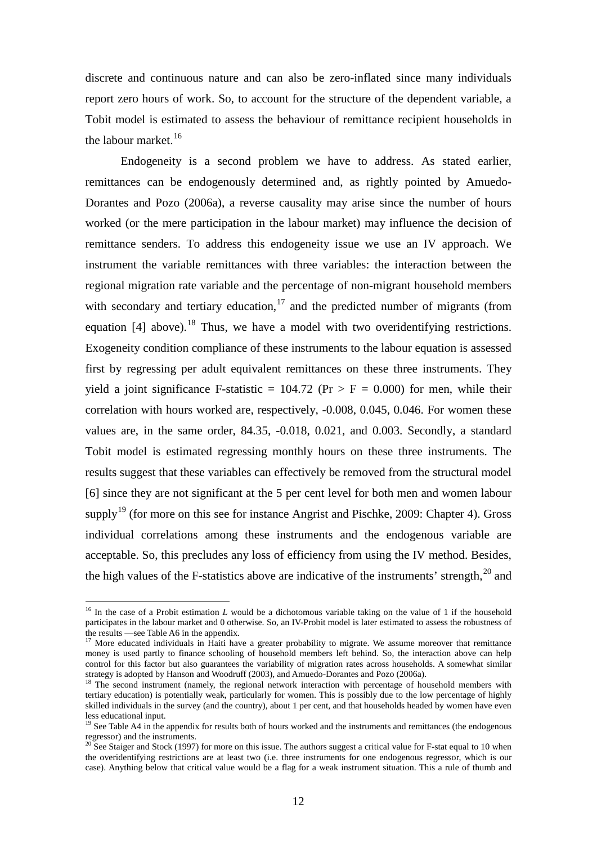discrete and continuous nature and can also be zero-inflated since many individuals report zero hours of work. So, to account for the structure of the dependent variable, a Tobit model is estimated to assess the behaviour of remittance recipient households in the labour market.<sup>[16](#page-13-0)</sup>

Endogeneity is a second problem we have to address. As stated earlier, remittances can be endogenously determined and, as rightly pointed by Amuedo-Dorantes and Pozo (2006a), a reverse causality may arise since the number of hours worked (or the mere participation in the labour market) may influence the decision of remittance senders. To address this endogeneity issue we use an IV approach. We instrument the variable remittances with three variables: the interaction between the regional migration rate variable and the percentage of non-migrant household members with secondary and tertiary education, $17$  and the predicted number of migrants (from equation  $[4]$  above).<sup>[18](#page-13-2)</sup> Thus, we have a model with two overidentifying restrictions. Exogeneity condition compliance of these instruments to the labour equation is assessed first by regressing per adult equivalent remittances on these three instruments. They yield a joint significance F-statistic =  $104.72$  (Pr > F = 0.000) for men, while their correlation with hours worked are, respectively, -0.008, 0.045, 0.046. For women these values are, in the same order, 84.35, -0.018, 0.021, and 0.003. Secondly, a standard Tobit model is estimated regressing monthly hours on these three instruments. The results suggest that these variables can effectively be removed from the structural model [6] since they are not significant at the 5 per cent level for both men and women labour supply<sup>[19](#page-13-3)</sup> (for more on this see for instance Angrist and Pischke, 2009: Chapter 4). Gross individual correlations among these instruments and the endogenous variable are acceptable. So, this precludes any loss of efficiency from using the IV method. Besides, the high values of the F-statistics above are indicative of the instruments' strength,  $20$  and

<span id="page-13-0"></span><sup>&</sup>lt;sup>16</sup> In the case of a Probit estimation *L* would be a dichotomous variable taking on the value of 1 if the household participates in the labour market and 0 otherwise. So, an IV-Probit model is later estimated to assess the robustness of the results —see Table A6 in the appendix.

<span id="page-13-1"></span><sup>&</sup>lt;sup>17</sup> More educated individuals in Haiti have a greater probability to migrate. We assume moreover that remittance money is used partly to finance schooling of household members left behind. So, the interaction above can help control for this factor but also guarantees the variability of migration rates across households. A somewhat similar strategy is adopted by Hanson and Woodruff (2003), and Amuedo-Dorantes and Pozo (2006a).

<span id="page-13-2"></span><sup>&</sup>lt;sup>18</sup> The second instrument (namely, the regional network interaction with percentage of household members with tertiary education) is potentially weak, particularly for women. This is possibly due to the low percentage of highly skilled individuals in the survey (and the country), about 1 per cent, and that households headed by women have even less educational input.

<span id="page-13-3"></span><sup>&</sup>lt;sup>19</sup> See Table A4 in the appendix for results both of hours worked and the instruments and remittances (the endogenous regressor) and the instruments.

<span id="page-13-4"></span><sup>&</sup>lt;sup>20</sup> See Staiger and Stock (1997) for more on this issue. The authors suggest a critical value for F-stat equal to 10 when the overidentifying restrictions are at least two (i.e. three instruments for one endogenous regressor, which is our case). Anything below that critical value would be a flag for a weak instrument situation. This a rule of thumb and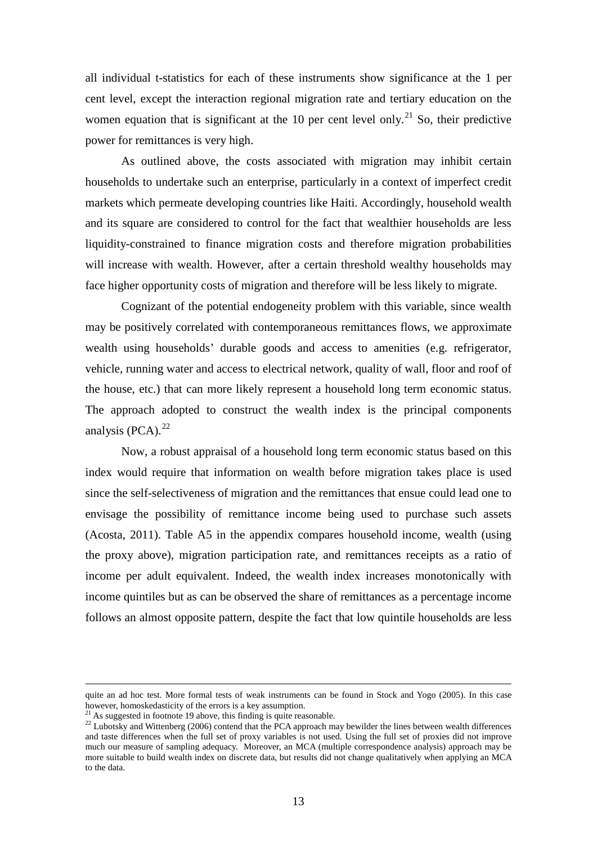all individual t-statistics for each of these instruments show significance at the 1 per cent level, except the interaction regional migration rate and tertiary education on the women equation that is significant at the 10 per cent level only.<sup>[21](#page-14-0)</sup> So, their predictive power for remittances is very high.

As outlined above, the costs associated with migration may inhibit certain households to undertake such an enterprise, particularly in a context of imperfect credit markets which permeate developing countries like Haiti. Accordingly, household wealth and its square are considered to control for the fact that wealthier households are less liquidity-constrained to finance migration costs and therefore migration probabilities will increase with wealth. However, after a certain threshold wealthy households may face higher opportunity costs of migration and therefore will be less likely to migrate.

Cognizant of the potential endogeneity problem with this variable, since wealth may be positively correlated with contemporaneous remittances flows, we approximate wealth using households' durable goods and access to amenities (e.g. refrigerator, vehicle, running water and access to electrical network, quality of wall, floor and roof of the house, etc.) that can more likely represent a household long term economic status. The approach adopted to construct the wealth index is the principal components analysis  $(PCA)^{22}$  $(PCA)^{22}$  $(PCA)^{22}$ 

Now, a robust appraisal of a household long term economic status based on this index would require that information on wealth before migration takes place is used since the self-selectiveness of migration and the remittances that ensue could lead one to envisage the possibility of remittance income being used to purchase such assets (Acosta, 2011). Table A5 in the appendix compares household income, wealth (using the proxy above), migration participation rate, and remittances receipts as a ratio of income per adult equivalent. Indeed, the wealth index increases monotonically with income quintiles but as can be observed the share of remittances as a percentage income follows an almost opposite pattern, despite the fact that low quintile households are less

quite an ad hoc test. More formal tests of weak instruments can be found in Stock and Yogo (2005). In this case however, homoskedasticity of the errors is a key assumption.<br><sup>21</sup> As suggested in footnote 19 above, this finding is quite reasonable.

<span id="page-14-0"></span>

<span id="page-14-1"></span><sup>&</sup>lt;sup>22</sup> Lubotsky and Wittenberg (2006) contend that the PCA approach may bewilder the lines between wealth differences and taste differences when the full set of proxy variables is not used. Using the full set of proxies did not improve much our measure of sampling adequacy. Moreover, an MCA (multiple correspondence analysis) approach may be more suitable to build wealth index on discrete data, but results did not change qualitatively when applying an MCA to the data.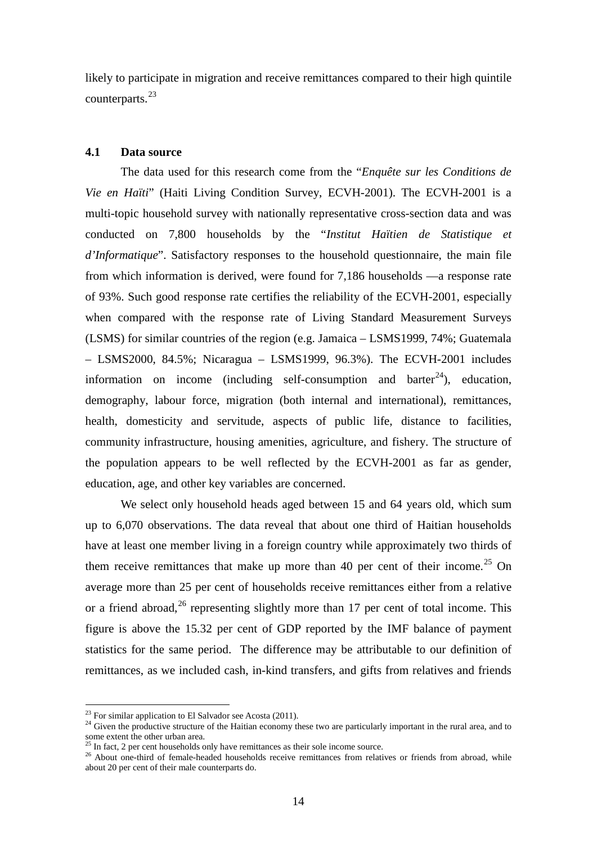likely to participate in migration and receive remittances compared to their high quintile counterparts.[23](#page-15-0)

#### **4.1 Data source**

The data used for this research come from the "*Enquête sur les Conditions de Vie en Haïti*" (Haiti Living Condition Survey, ECVH-2001). The ECVH-2001 is a multi-topic household survey with nationally representative cross-section data and was conducted on 7,800 households by the "*Institut Haïtien de Statistique et d'Informatique*". Satisfactory responses to the household questionnaire, the main file from which information is derived, were found for 7,186 households —a response rate of 93%. Such good response rate certifies the reliability of the ECVH-2001, especially when compared with the response rate of Living Standard Measurement Surveys (LSMS) for similar countries of the region (e.g. Jamaica – LSMS1999, 74%; Guatemala – LSMS2000, 84.5%; Nicaragua – LSMS1999, 96.3%). The ECVH-2001 includes information on income (including self-consumption and barter<sup>[24](#page-15-1)</sup>), education, demography, labour force, migration (both internal and international), remittances, health, domesticity and servitude, aspects of public life, distance to facilities, community infrastructure, housing amenities, agriculture, and fishery. The structure of the population appears to be well reflected by the ECVH-2001 as far as gender, education, age, and other key variables are concerned.

We select only household heads aged between 15 and 64 years old, which sum up to 6,070 observations. The data reveal that about one third of Haitian households have at least one member living in a foreign country while approximately two thirds of them receive remittances that make up more than 40 per cent of their income.<sup>[25](#page-15-2)</sup> On average more than 25 per cent of households receive remittances either from a relative or a friend abroad,  $26$  representing slightly more than 17 per cent of total income. This figure is above the 15.32 per cent of GDP reported by the IMF balance of payment statistics for the same period. The difference may be attributable to our definition of remittances, as we included cash, in-kind transfers, and gifts from relatives and friends

<span id="page-15-0"></span><sup>&</sup>lt;sup>23</sup> For similar application to El Salvador see Acosta (2011).

<span id="page-15-1"></span><sup>&</sup>lt;sup>24</sup> Given the productive structure of the Haitian economy these two are particularly important in the rural area, and to some extent the other urban area.<br><sup>25</sup> In fact, 2 per cent households only have remittances as their sole income source.

<span id="page-15-3"></span><span id="page-15-2"></span><sup>&</sup>lt;sup>26</sup> About one-third of female-headed households receive remittances from relatives or friends from abroad, while about 20 per cent of their male counterparts do.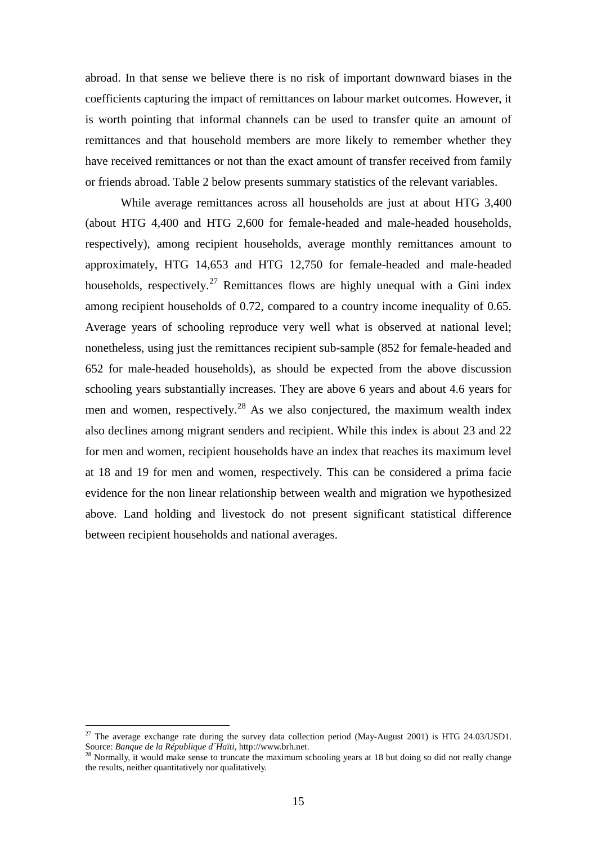abroad. In that sense we believe there is no risk of important downward biases in the coefficients capturing the impact of remittances on labour market outcomes. However, it is worth pointing that informal channels can be used to transfer quite an amount of remittances and that household members are more likely to remember whether they have received remittances or not than the exact amount of transfer received from family or friends abroad. Table 2 below presents summary statistics of the relevant variables.

While average remittances across all households are just at about HTG 3,400 (about HTG 4,400 and HTG 2,600 for female-headed and male-headed households, respectively), among recipient households, average monthly remittances amount to approximately, HTG 14,653 and HTG 12,750 for female-headed and male-headed households, respectively.<sup>[27](#page-16-0)</sup> Remittances flows are highly unequal with a Gini index among recipient households of 0.72, compared to a country income inequality of 0.65. Average years of schooling reproduce very well what is observed at national level; nonetheless, using just the remittances recipient sub-sample (852 for female-headed and 652 for male-headed households), as should be expected from the above discussion schooling years substantially increases. They are above 6 years and about 4.6 years for men and women, respectively.<sup>[28](#page-16-1)</sup> As we also conjectured, the maximum wealth index also declines among migrant senders and recipient. While this index is about 23 and 22 for men and women, recipient households have an index that reaches its maximum level at 18 and 19 for men and women, respectively. This can be considered a prima facie evidence for the non linear relationship between wealth and migration we hypothesized above. Land holding and livestock do not present significant statistical difference between recipient households and national averages.

<span id="page-16-0"></span><sup>&</sup>lt;sup>27</sup> The average exchange rate during the survey data collection period (May-August 2001) is HTG 24.03/USD1. Source: *Banque de la République d´Haïti,* http://www.brh.net.

<span id="page-16-1"></span> $28$  Normally, it would make sense to truncate the maximum schooling years at 18 but doing so did not really change the results, neither quantitatively nor qualitatively.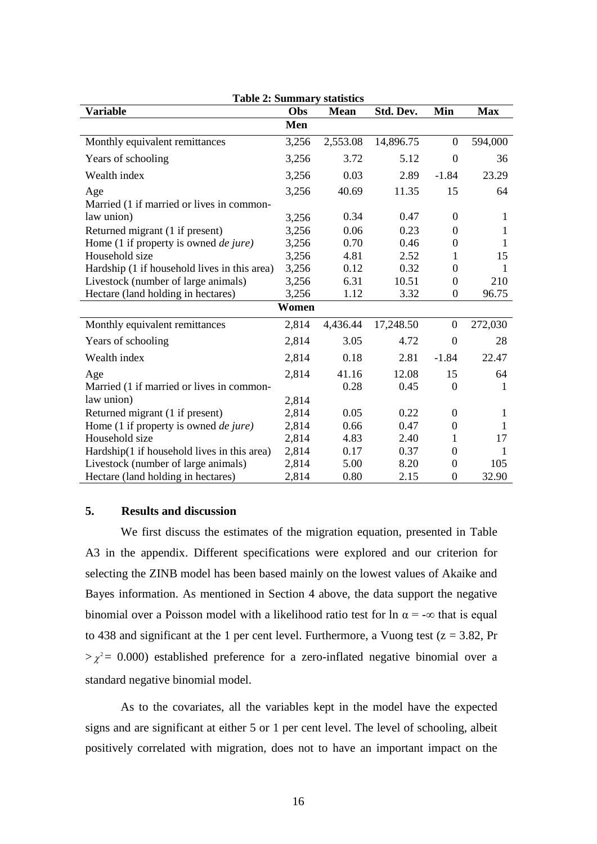| <b>Table 2: Summary statistics</b>            |       |             |           |                  |            |  |  |
|-----------------------------------------------|-------|-------------|-----------|------------------|------------|--|--|
| Variable                                      | Obs   | <b>Mean</b> | Std. Dev. | Min              | <b>Max</b> |  |  |
|                                               | Men   |             |           |                  |            |  |  |
| Monthly equivalent remittances                | 3,256 | 2,553.08    | 14,896.75 | $\boldsymbol{0}$ | 594,000    |  |  |
| Years of schooling                            | 3,256 | 3.72        | 5.12      | $\mathbf{0}$     | 36         |  |  |
| Wealth index                                  | 3,256 | 0.03        | 2.89      | $-1.84$          | 23.29      |  |  |
| Age                                           | 3,256 | 40.69       | 11.35     | 15               | 64         |  |  |
| Married (1 if married or lives in common-     |       |             |           |                  |            |  |  |
| law union)                                    | 3,256 | 0.34        | 0.47      | $\Omega$         | 1          |  |  |
| Returned migrant (1 if present)               | 3,256 | 0.06        | 0.23      | $\theta$         | 1          |  |  |
| Home (1 if property is owned <i>de jure</i> ) | 3,256 | 0.70        | 0.46      | $\boldsymbol{0}$ | 1          |  |  |
| Household size                                | 3,256 | 4.81        | 2.52      | 1                | 15         |  |  |
| Hardship (1 if household lives in this area)  | 3,256 | 0.12        | 0.32      | $\overline{0}$   | 1          |  |  |
| Livestock (number of large animals)           | 3,256 | 6.31        | 10.51     | $\theta$         | 210        |  |  |
| Hectare (land holding in hectares)            | 3,256 | 1.12        | 3.32      | 0                | 96.75      |  |  |
|                                               | Women |             |           |                  |            |  |  |
| Monthly equivalent remittances                | 2,814 | 4,436.44    | 17,248.50 | $\overline{0}$   | 272,030    |  |  |
| Years of schooling                            | 2,814 | 3.05        | 4.72      | $\boldsymbol{0}$ | 28         |  |  |
| Wealth index                                  | 2,814 | 0.18        | 2.81      | $-1.84$          | 22.47      |  |  |
| Age                                           | 2,814 | 41.16       | 12.08     | 15               | 64         |  |  |
| Married (1 if married or lives in common-     |       | 0.28        | 0.45      | $\overline{0}$   | 1          |  |  |
| law union)                                    | 2,814 |             |           |                  |            |  |  |
| Returned migrant (1 if present)               | 2,814 | 0.05        | 0.22      | $\Omega$         | 1          |  |  |
| Home (1 if property is owned <i>de jure</i> ) | 2,814 | 0.66        | 0.47      | $\boldsymbol{0}$ | 1          |  |  |
| Household size                                | 2,814 | 4.83        | 2.40      | 1                | 17         |  |  |
| Hardship(1 if household lives in this area)   | 2,814 | 0.17        | 0.37      | $\Omega$         | 1          |  |  |
| Livestock (number of large animals)           | 2,814 | 5.00        | 8.20      | $\Omega$         | 105        |  |  |
| Hectare (land holding in hectares)            | 2,814 | 0.80        | 2.15      | $\boldsymbol{0}$ | 32.90      |  |  |

#### **5. Results and discussion**

We first discuss the estimates of the migration equation, presented in Table A3 in the appendix. Different specifications were explored and our criterion for selecting the ZINB model has been based mainly on the lowest values of Akaike and Bayes information. As mentioned in Section 4 above, the data support the negative binomial over a Poisson model with a likelihood ratio test for ln  $\alpha = -\infty$  that is equal to 438 and significant at the 1 per cent level. Furthermore, a Vuong test ( $z = 3.82$ , Pr  $>\chi^2$  = 0.000) established preference for a zero-inflated negative binomial over a standard negative binomial model.

As to the covariates, all the variables kept in the model have the expected signs and are significant at either 5 or 1 per cent level. The level of schooling, albeit positively correlated with migration, does not to have an important impact on the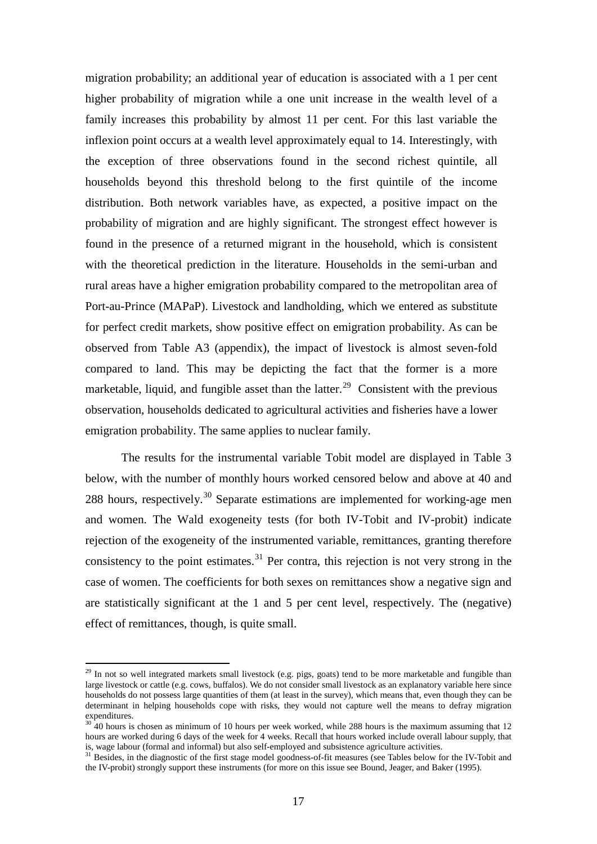migration probability; an additional year of education is associated with a 1 per cent higher probability of migration while a one unit increase in the wealth level of a family increases this probability by almost 11 per cent. For this last variable the inflexion point occurs at a wealth level approximately equal to 14. Interestingly, with the exception of three observations found in the second richest quintile, all households beyond this threshold belong to the first quintile of the income distribution. Both network variables have, as expected, a positive impact on the probability of migration and are highly significant. The strongest effect however is found in the presence of a returned migrant in the household, which is consistent with the theoretical prediction in the literature. Households in the semi-urban and rural areas have a higher emigration probability compared to the metropolitan area of Port-au-Prince (MAPaP). Livestock and landholding, which we entered as substitute for perfect credit markets, show positive effect on emigration probability. As can be observed from Table A3 (appendix), the impact of livestock is almost seven-fold compared to land. This may be depicting the fact that the former is a more marketable, liquid, and fungible asset than the latter.<sup>[29](#page-18-0)</sup> Consistent with the previous observation, households dedicated to agricultural activities and fisheries have a lower emigration probability. The same applies to nuclear family.

The results for the instrumental variable Tobit model are displayed in Table 3 below, with the number of monthly hours worked censored below and above at 40 and 288 hours, respectively.<sup>[30](#page-18-1)</sup> Separate estimations are implemented for working-age men and women. The Wald exogeneity tests (for both IV-Tobit and IV-probit) indicate rejection of the exogeneity of the instrumented variable, remittances, granting therefore consistency to the point estimates.<sup>[31](#page-18-2)</sup> Per contra, this rejection is not very strong in the case of women. The coefficients for both sexes on remittances show a negative sign and are statistically significant at the 1 and 5 per cent level, respectively. The (negative) effect of remittances, though, is quite small.

<span id="page-18-0"></span> $29$  In not so well integrated markets small livestock (e.g. pigs, goats) tend to be more marketable and fungible than large livestock or cattle (e.g. cows, buffalos). We do not consider small livestock as an explanatory variable here since households do not possess large quantities of them (at least in the survey), which means that, even though they can be determinant in helping households cope with risks, they would not capture well the means to defray migration expenditures.

<span id="page-18-1"></span> $30\overline{40}$  hours is chosen as minimum of 10 hours per week worked, while 288 hours is the maximum assuming that 12 hours are worked during 6 days of the week for 4 weeks. Recall that hours worked include overall labour supply, that is, wage labour (formal and informal) but also self-employed and subsistence agriculture activities.<br><sup>31</sup> Besides, in the diagnostic of the first stage model goodness-of-fit measures (see Tables below for the IV-Tobit and

<span id="page-18-2"></span>the IV-probit) strongly support these instruments (for more on this issue see Bound, Jeager, and Baker (1995).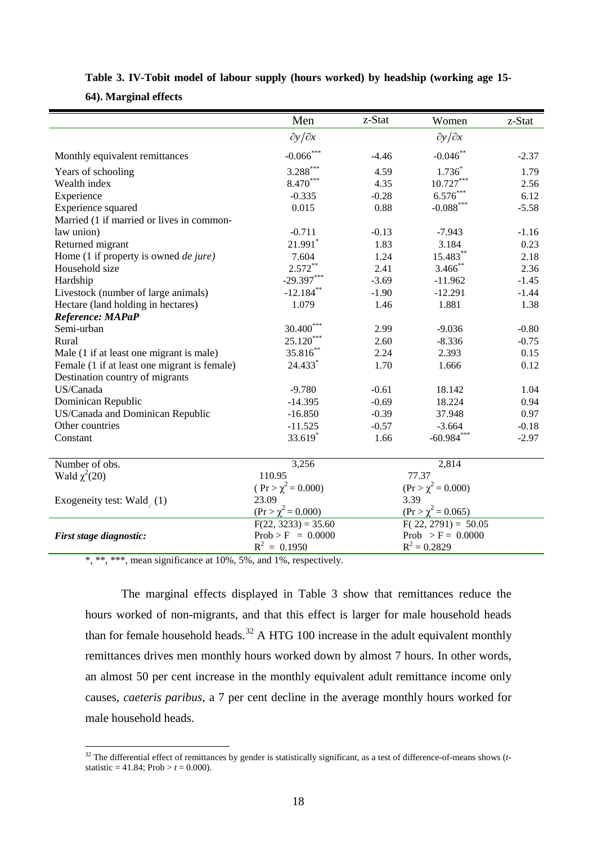|                                                     | Men                     | z-Stat  | Women                          | z-Stat  |
|-----------------------------------------------------|-------------------------|---------|--------------------------------|---------|
|                                                     | $\partial y/\partial x$ |         | $\partial y/\partial x$        |         |
| Monthly equivalent remittances                      | $-0.066$ ***            | $-4.46$ | $-0.046$ **                    | $-2.37$ |
| Years of schooling                                  | $3.288***$              | 4.59    | $1.736*$                       | 1.79    |
| Wealth index                                        | 8.470***                | 4.35    | $10.727***$                    | 2.56    |
| Experience                                          | $-0.335$                | $-0.28$ | $6.576***$                     | 6.12    |
| Experience squared                                  | 0.015                   | 0.88    | $-0.088***$                    | $-5.58$ |
| Married (1 if married or lives in common-           |                         |         |                                |         |
| law union)                                          | $-0.711$                | $-0.13$ | $-7.943$                       | $-1.16$ |
| Returned migrant                                    | 21.991*                 | 1.83    | 3.184                          | 0.23    |
| Home (1 if property is owned <i>de jure</i> )       | 7.604                   | 1.24    | 15.483**                       | 2.18    |
| Household size                                      | $2.572***$              | 2.41    | $3.466$ **                     | 2.36    |
| Hardship                                            | $-29.397***$            | $-3.69$ | $-11.962$                      | $-1.45$ |
| Livestock (number of large animals)                 | $-12.184$ <sup>*</sup>  | $-1.90$ | $-12.291$                      | $-1.44$ |
| Hectare (land holding in hectares)                  | 1.079                   | 1.46    | 1.881                          | 1.38    |
| Reference: MAPaP                                    |                         |         |                                |         |
| Semi-urban                                          | 30.400***               | 2.99    | $-9.036$                       | $-0.80$ |
| Rural                                               | $25.120***$             | 2.60    | $-8.336$                       | $-0.75$ |
| Male (1 if at least one migrant is male)            | 35.816**                | 2.24    | 2.393                          | 0.15    |
| Female (1 if at least one migrant is female)        | 24.433                  | 1.70    | 1.666                          | 0.12    |
| Destination country of migrants                     |                         |         |                                |         |
| US/Canada                                           | $-9.780$                | $-0.61$ | 18.142                         | 1.04    |
| Dominican Republic                                  | $-14.395$               | $-0.69$ | 18.224                         | 0.94    |
| US/Canada and Dominican Republic                    | $-16.850$               | $-0.39$ | 37.948                         | 0.97    |
| Other countries                                     | $-11.525$               | $-0.57$ | $-3.664$                       | $-0.18$ |
| Constant                                            | 33.619*                 | 1.66    | $-60.984***$                   | $-2.97$ |
| Number of obs.                                      | 3,256                   |         | 2,814                          |         |
| Wald $\chi^2(20)$                                   | 110.95                  |         | 77.37                          |         |
|                                                     | $(Pr > \chi^2 = 0.000)$ |         | $(\text{Pr} > \chi^2 = 0.000)$ |         |
| Exogeneity test: Wald <sub>, <math>(1)</math></sub> | 23.09                   |         | 3.39                           |         |
|                                                     | $(Pr > \chi^2 = 0.000)$ |         | $(\text{Pr} > \chi^2 = 0.065)$ |         |
|                                                     | $F(22, 3233) = 35.60$   |         | $F(22, 2791) = 50.05$          |         |
| First stage diagnostic:                             | $Prob > F = 0.0000$     |         | Prob > $F = 0.0000$            |         |
|                                                     | $R^2 = 0.1950$          |         | $R^2 = 0.2829$                 |         |

#### **Table 3. IV-Tobit model of labour supply (hours worked) by headship (working age 15-**

**64). Marginal effects**

\*, \*\*, \*\*\*, mean significance at 10%, 5%, and 1%, respectively.

The marginal effects displayed in Table 3 show that remittances reduce the hours worked of non-migrants, and that this effect is larger for male household heads than for female household heads.<sup>[32](#page-19-0)</sup> A HTG 100 increase in the adult equivalent monthly remittances drives men monthly hours worked down by almost 7 hours. In other words, an almost 50 per cent increase in the monthly equivalent adult remittance income only causes, *caeteris paribus*, a 7 per cent decline in the average monthly hours worked for male household heads.

<span id="page-19-0"></span><sup>&</sup>lt;sup>32</sup> The differential effect of remittances by gender is statistically significant, as a test of difference-of-means shows (*t*statistic = 41.84; Prob >  $t = 0.000$ .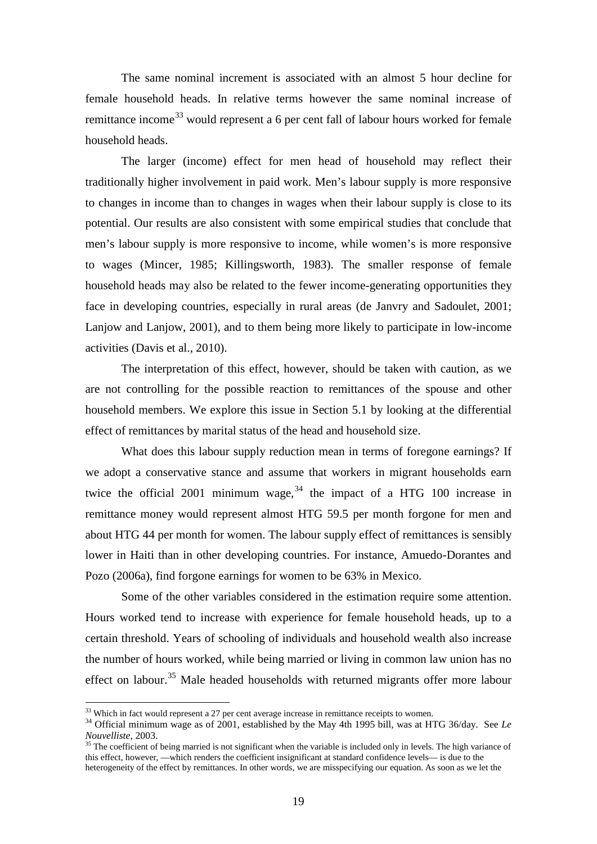The same nominal increment is associated with an almost 5 hour decline for female household heads. In relative terms however the same nominal increase of remittance income<sup>[33](#page-20-0)</sup> would represent a 6 per cent fall of labour hours worked for female household heads.

The larger (income) effect for men head of household may reflect their traditionally higher involvement in paid work. Men's labour supply is more responsive to changes in income than to changes in wages when their labour supply is close to its potential. Our results are also consistent with some empirical studies that conclude that men's labour supply is more responsive to income, while women's is more responsive to wages (Mincer, 1985; Killingsworth, 1983). The smaller response of female household heads may also be related to the fewer income-generating opportunities they face in developing countries, especially in rural areas (de Janvry and Sadoulet, 2001; Lanjow and Lanjow, 2001), and to them being more likely to participate in low-income activities (Davis et al., 2010).

The interpretation of this effect, however, should be taken with caution, as we are not controlling for the possible reaction to remittances of the spouse and other household members. We explore this issue in Section 5.1 by looking at the differential effect of remittances by marital status of the head and household size.

What does this labour supply reduction mean in terms of foregone earnings? If we adopt a conservative stance and assume that workers in migrant households earn twice the official 2001 minimum wage,  $34$  the impact of a HTG 100 increase in remittance money would represent almost HTG 59.5 per month forgone for men and about HTG 44 per month for women. The labour supply effect of remittances is sensibly lower in Haiti than in other developing countries. For instance, Amuedo-Dorantes and Pozo (2006a), find forgone earnings for women to be 63% in Mexico.

Some of the other variables considered in the estimation require some attention. Hours worked tend to increase with experience for female household heads, up to a certain threshold. Years of schooling of individuals and household wealth also increase the number of hours worked, while being married or living in common law union has no effect on labour.<sup>[35](#page-20-2)</sup> Male headed households with returned migrants offer more labour

<span id="page-20-0"></span> $33$  Which in fact would represent a 27 per cent average increase in remittance receipts to women.

<span id="page-20-1"></span><sup>&</sup>lt;sup>34</sup> Official minimum wage as of 2001, established by the May 4th 1995 bill, was at HTG 36/day. See *Le Nouvelliste*, 2003.

<span id="page-20-2"></span><sup>&</sup>lt;sup>35</sup> The coefficient of being married is not significant when the variable is included only in levels. The high variance of this effect, however, —which renders the coefficient insignificant at standard confidence levels— is due to the heterogeneity of the effect by remittances. In other words, we are misspecifying our equation. As soon as we let the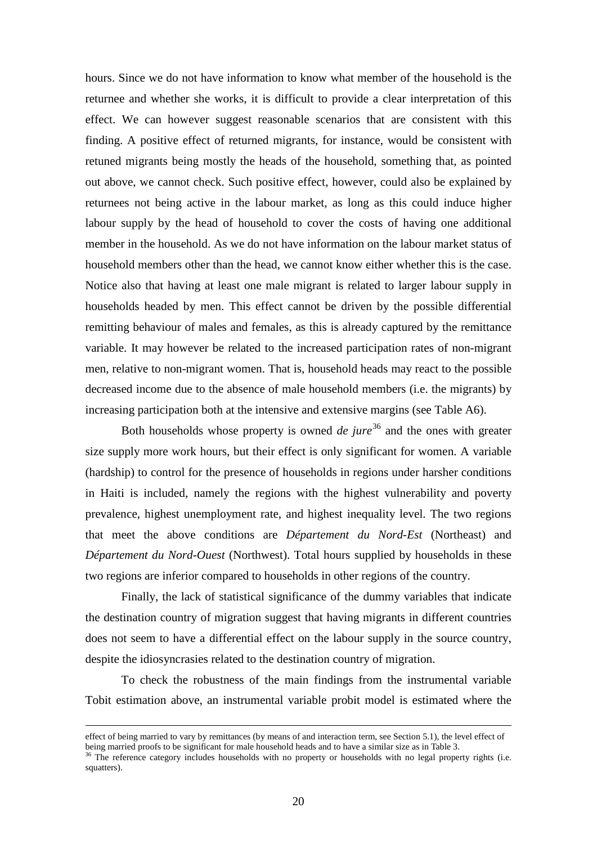hours. Since we do not have information to know what member of the household is the returnee and whether she works, it is difficult to provide a clear interpretation of this effect. We can however suggest reasonable scenarios that are consistent with this finding. A positive effect of returned migrants, for instance, would be consistent with retuned migrants being mostly the heads of the household, something that, as pointed out above, we cannot check. Such positive effect, however, could also be explained by returnees not being active in the labour market, as long as this could induce higher labour supply by the head of household to cover the costs of having one additional member in the household. As we do not have information on the labour market status of household members other than the head, we cannot know either whether this is the case. Notice also that having at least one male migrant is related to larger labour supply in households headed by men. This effect cannot be driven by the possible differential remitting behaviour of males and females, as this is already captured by the remittance variable. It may however be related to the increased participation rates of non-migrant men, relative to non-migrant women. That is, household heads may react to the possible decreased income due to the absence of male household members (i.e. the migrants) by increasing participation both at the intensive and extensive margins (see Table A6).

Both households whose property is owned *de jure*<sup>[36](#page-21-0)</sup> and the ones with greater size supply more work hours, but their effect is only significant for women. A variable (hardship) to control for the presence of households in regions under harsher conditions in Haiti is included, namely the regions with the highest vulnerability and poverty prevalence, highest unemployment rate, and highest inequality level. The two regions that meet the above conditions are *Département du Nord-Est* (Northeast) and *Département du Nord-Ouest* (Northwest). Total hours supplied by households in these two regions are inferior compared to households in other regions of the country.

Finally, the lack of statistical significance of the dummy variables that indicate the destination country of migration suggest that having migrants in different countries does not seem to have a differential effect on the labour supply in the source country, despite the idiosyncrasies related to the destination country of migration.

To check the robustness of the main findings from the instrumental variable Tobit estimation above, an instrumental variable probit model is estimated where the

effect of being married to vary by remittances (by means of and interaction term, see Section 5.1), the level effect of being married proofs to be significant for male household heads and to have a similar size as in Table 3.<br><sup>36</sup> The reference category includes households with no property or households with no legal property rights (i.e.

<span id="page-21-0"></span>squatters).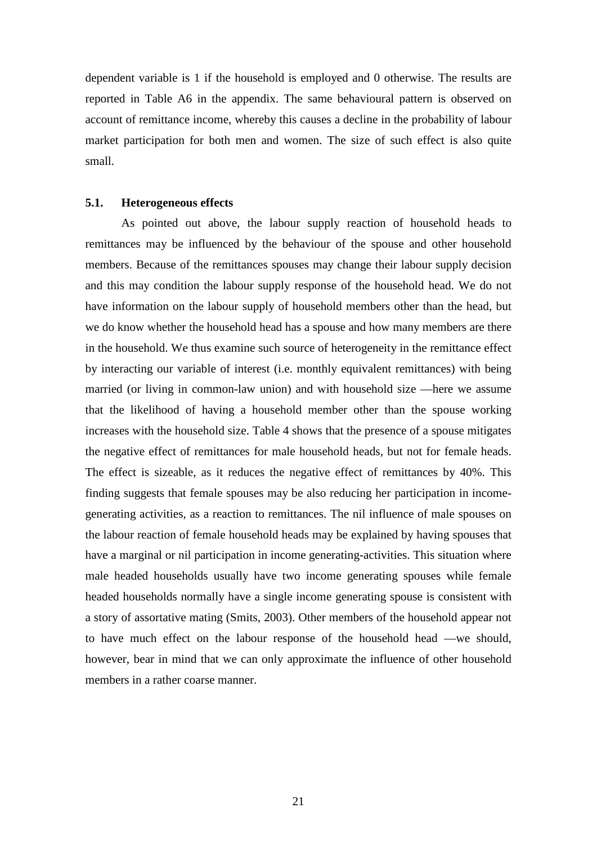dependent variable is 1 if the household is employed and 0 otherwise. The results are reported in Table A6 in the appendix. The same behavioural pattern is observed on account of remittance income, whereby this causes a decline in the probability of labour market participation for both men and women. The size of such effect is also quite small.

#### **5.1. Heterogeneous effects**

As pointed out above, the labour supply reaction of household heads to remittances may be influenced by the behaviour of the spouse and other household members. Because of the remittances spouses may change their labour supply decision and this may condition the labour supply response of the household head. We do not have information on the labour supply of household members other than the head, but we do know whether the household head has a spouse and how many members are there in the household. We thus examine such source of heterogeneity in the remittance effect by interacting our variable of interest (i.e. monthly equivalent remittances) with being married (or living in common-law union) and with household size —here we assume that the likelihood of having a household member other than the spouse working increases with the household size. Table 4 shows that the presence of a spouse mitigates the negative effect of remittances for male household heads, but not for female heads. The effect is sizeable, as it reduces the negative effect of remittances by 40%. This finding suggests that female spouses may be also reducing her participation in incomegenerating activities, as a reaction to remittances. The nil influence of male spouses on the labour reaction of female household heads may be explained by having spouses that have a marginal or nil participation in income generating-activities. This situation where male headed households usually have two income generating spouses while female headed households normally have a single income generating spouse is consistent with a story of assortative mating (Smits, 2003). Other members of the household appear not to have much effect on the labour response of the household head —we should, however, bear in mind that we can only approximate the influence of other household members in a rather coarse manner.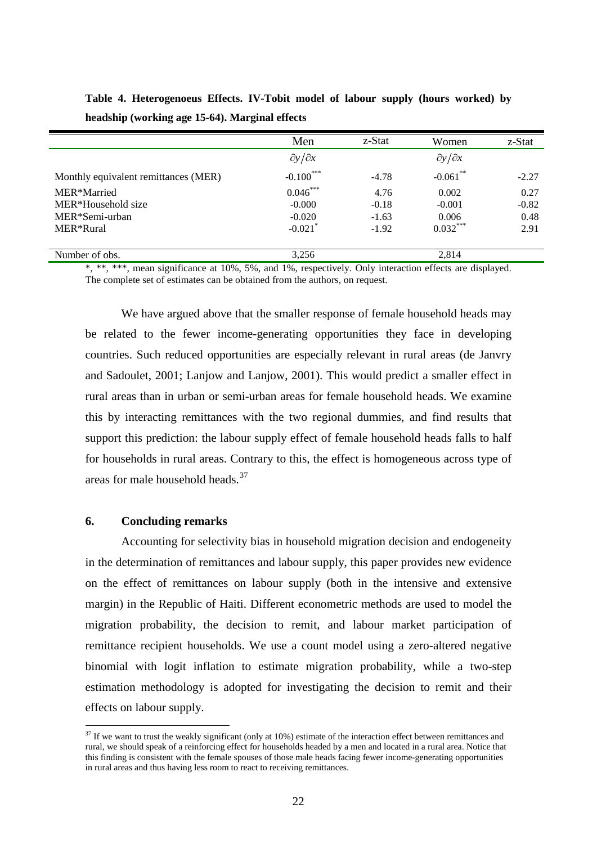|                                      | Men                     | z-Stat  | Women                   | z-Stat  |
|--------------------------------------|-------------------------|---------|-------------------------|---------|
|                                      | $\partial y/\partial x$ |         | $\partial y/\partial x$ |         |
| Monthly equivalent remittances (MER) | $-0.100***$             | $-4.78$ | $-0.061$ **             | $-2.27$ |
| MER*Married                          | $0.046***$              | 4.76    | 0.002                   | 0.27    |
| MER*Household size                   | $-0.000$                | $-0.18$ | $-0.001$                | $-0.82$ |
| MER*Semi-urban                       | $-0.020$                | $-1.63$ | 0.006                   | 0.48    |
| MER*Rural                            | $-0.021$ <sup>*</sup>   | $-1.92$ | $0.032***$              | 2.91    |
|                                      |                         |         |                         |         |
| Number of obs.                       | 3,256                   |         | 2.814                   |         |

**Table 4. Heterogenoeus Effects. IV-Tobit model of labour supply (hours worked) by headship (working age 15-64). Marginal effects**

\*, \*\*, \*\*\*, mean significance at 10%, 5%, and 1%, respectively. Only interaction effects are displayed. The complete set of estimates can be obtained from the authors, on request.

We have argued above that the smaller response of female household heads may be related to the fewer income-generating opportunities they face in developing countries. Such reduced opportunities are especially relevant in rural areas (de Janvry and Sadoulet, 2001; Lanjow and Lanjow, 2001). This would predict a smaller effect in rural areas than in urban or semi-urban areas for female household heads. We examine this by interacting remittances with the two regional dummies, and find results that support this prediction: the labour supply effect of female household heads falls to half for households in rural areas. Contrary to this, the effect is homogeneous across type of areas for male household heads.<sup>[37](#page-23-0)</sup>

#### **6. Concluding remarks**

Accounting for selectivity bias in household migration decision and endogeneity in the determination of remittances and labour supply, this paper provides new evidence on the effect of remittances on labour supply (both in the intensive and extensive margin) in the Republic of Haiti. Different econometric methods are used to model the migration probability, the decision to remit, and labour market participation of remittance recipient households. We use a count model using a zero-altered negative binomial with logit inflation to estimate migration probability, while a two-step estimation methodology is adopted for investigating the decision to remit and their effects on labour supply.

<span id="page-23-0"></span> $37$  If we want to trust the weakly significant (only at 10%) estimate of the interaction effect between remittances and rural, we should speak of a reinforcing effect for households headed by a men and located in a rural area. Notice that this finding is consistent with the female spouses of those male heads facing fewer income-generating opportunities in rural areas and thus having less room to react to receiving remittances.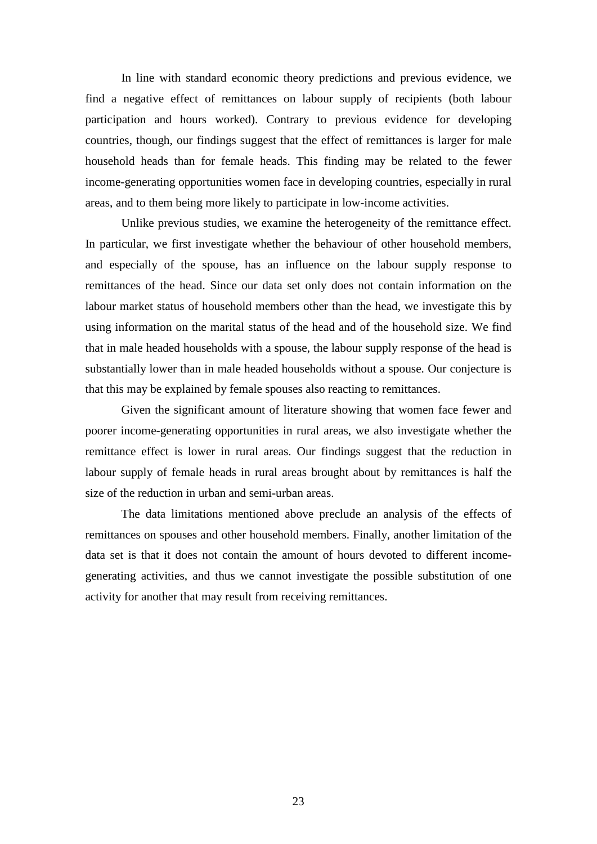In line with standard economic theory predictions and previous evidence, we find a negative effect of remittances on labour supply of recipients (both labour participation and hours worked). Contrary to previous evidence for developing countries, though, our findings suggest that the effect of remittances is larger for male household heads than for female heads. This finding may be related to the fewer income-generating opportunities women face in developing countries, especially in rural areas, and to them being more likely to participate in low-income activities.

Unlike previous studies, we examine the heterogeneity of the remittance effect. In particular, we first investigate whether the behaviour of other household members, and especially of the spouse, has an influence on the labour supply response to remittances of the head. Since our data set only does not contain information on the labour market status of household members other than the head, we investigate this by using information on the marital status of the head and of the household size. We find that in male headed households with a spouse, the labour supply response of the head is substantially lower than in male headed households without a spouse. Our conjecture is that this may be explained by female spouses also reacting to remittances.

Given the significant amount of literature showing that women face fewer and poorer income-generating opportunities in rural areas, we also investigate whether the remittance effect is lower in rural areas. Our findings suggest that the reduction in labour supply of female heads in rural areas brought about by remittances is half the size of the reduction in urban and semi-urban areas.

The data limitations mentioned above preclude an analysis of the effects of remittances on spouses and other household members. Finally, another limitation of the data set is that it does not contain the amount of hours devoted to different incomegenerating activities, and thus we cannot investigate the possible substitution of one activity for another that may result from receiving remittances.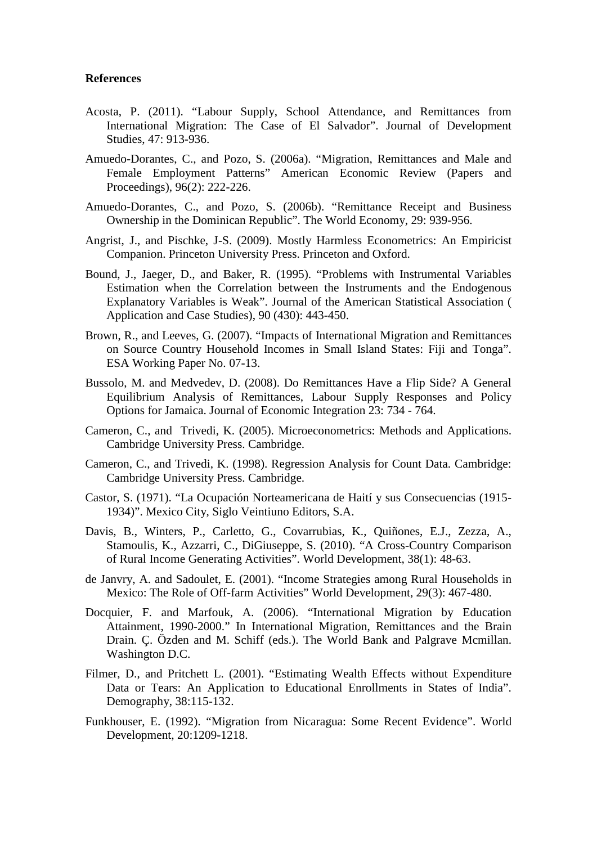#### **References**

- Acosta, P. (2011). "Labour Supply, School Attendance, and Remittances from International Migration: The Case of El Salvador". Journal of Development Studies, 47: 913-936.
- Amuedo-Dorantes, C., and Pozo, S. (2006a). "Migration, Remittances and Male and Female Employment Patterns" American Economic Review (Papers and Proceedings), 96(2): 222-226.
- Amuedo-Dorantes, C., and Pozo, S. (2006b). "Remittance Receipt and Business Ownership in the Dominican Republic". The World Economy, 29: 939-956.
- Angrist, J., and Pischke, J-S. (2009). Mostly Harmless Econometrics: An Empiricist Companion. Princeton University Press. Princeton and Oxford.
- Bound, J., Jaeger, D., and Baker, R. (1995). "Problems with Instrumental Variables Estimation when the Correlation between the Instruments and the Endogenous Explanatory Variables is Weak". Journal of the American Statistical Association ( Application and Case Studies), 90 (430): 443-450.
- Brown, R., and Leeves, G. (2007). "Impacts of International Migration and Remittances on Source Country Household Incomes in Small Island States: Fiji and Tonga". ESA Working Paper No. 07-13.
- Bussolo, M. and Medvedev, D. (2008). Do Remittances Have a Flip Side? A General Equilibrium Analysis of Remittances, Labour Supply Responses and Policy Options for Jamaica. Journal of Economic Integration 23: 734 - 764.
- Cameron, C., and Trivedi, K. (2005). Microeconometrics: Methods and Applications. Cambridge University Press. Cambridge.
- Cameron, C., and Trivedi, K. (1998). Regression Analysis for Count Data. Cambridge: Cambridge University Press. Cambridge.
- Castor, S. (1971). "La Ocupación Norteamericana de Haití y sus Consecuencias (1915- 1934)". Mexico City, Siglo Veintiuno Editors, S.A.
- [Davis,](http://www.sciencedirect.com/science/article/pii/S0305750X09000163) B., [Winters,](http://www.sciencedirect.com/science/article/pii/S0305750X09000163) P., [Carletto,](http://www.sciencedirect.com/science/article/pii/S0305750X09000163) G., [Covarrubias,](http://www.sciencedirect.com/science/article/pii/S0305750X09000163) K., [Quiñones,](http://www.sciencedirect.com/science/article/pii/S0305750X09000163) E.J., [Zezza,](http://www.sciencedirect.com/science/article/pii/S0305750X09000163) A., [Stamoulis,](http://www.sciencedirect.com/science/article/pii/S0305750X09000163) K., [Azzarri,](http://www.sciencedirect.com/science/article/pii/S0305750X09000163) C., [DiGiuseppe,](http://www.sciencedirect.com/science/article/pii/S0305750X09000163) S. (2010). "A Cross-Country Comparison of Rural Income Generating Activities". World Development, 38(1): 48-63.
- de Janvry, A. and Sadoulet, E. (2001). "Income Strategies among Rural Households in Mexico: The Role of Off-farm Activities" World Development, 29(3): 467-480.
- Docquier, F. and Marfouk, A. (2006). "International Migration by Education Attainment, 1990-2000." In International Migration, Remittances and the Brain Drain. Ç. Özden and M. Schiff (eds.). The World Bank and Palgrave Mcmillan. Washington D.C.
- Filmer, D., and Pritchett L. (2001). "Estimating Wealth Effects without Expenditure Data or Tears: An Application to Educational Enrollments in States of India". Demography, 38:115-132.
- Funkhouser, E. (1992). "Migration from Nicaragua: Some Recent Evidence". World Development, 20:1209-1218.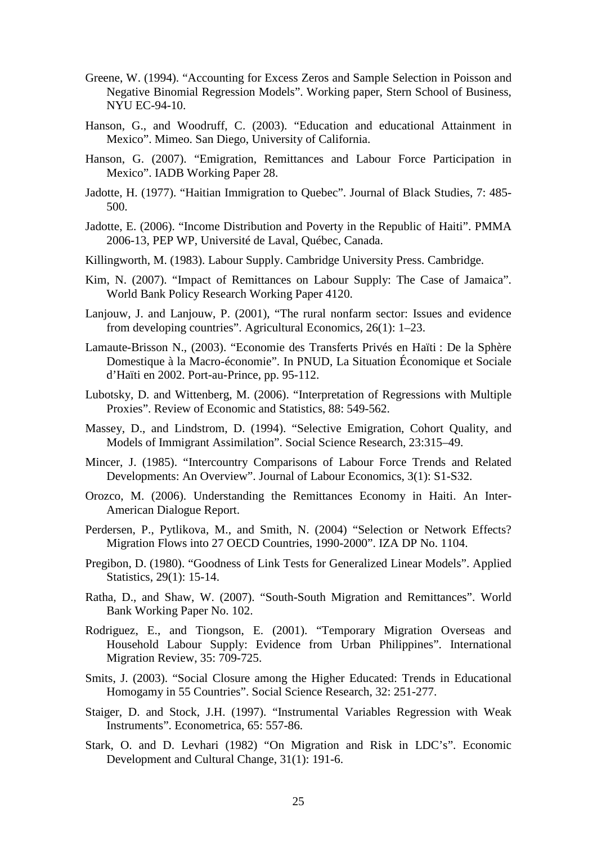- Greene, W. (1994). "Accounting for Excess Zeros and Sample Selection in Poisson and Negative Binomial Regression Models". Working paper, Stern School of Business, NYU EC-94-10.
- Hanson, G., and Woodruff, C. (2003). "Education and educational Attainment in Mexico". Mimeo. San Diego, University of California.
- Hanson, G. (2007). "Emigration, Remittances and Labour Force Participation in Mexico". IADB Working Paper 28.
- Jadotte, H. (1977). "Haitian Immigration to Quebec". Journal of Black Studies, 7: 485- 500.
- Jadotte, E. (2006). "Income Distribution and Poverty in the Republic of Haiti". PMMA 2006-13, PEP WP, Université de Laval, Québec, Canada.
- Killingworth, M. (1983). Labour Supply. Cambridge University Press. Cambridge.
- Kim, N. (2007). "Impact of Remittances on Labour Supply: The Case of Jamaica". World Bank Policy Research Working Paper 4120.
- Lanjouw, J. and Lanjouw, P. (2001), "The rural nonfarm sector: Issues and evidence from developing countries". Agricultural Economics, 26(1): 1–23.
- Lamaute-Brisson N., (2003). "Economie des Transferts Privés en Haïti : De la Sphère Domestique à la Macro-économie". In PNUD, La Situation Économique et Sociale d'Haïti en 2002. Port-au-Prince, pp. 95-112.
- Lubotsky, D. and Wittenberg, M. (2006). "Interpretation of Regressions with Multiple Proxies". Review of Economic and Statistics, 88: 549-562.
- Massey, D., and Lindstrom, D. (1994). "Selective Emigration, Cohort Quality, and Models of Immigrant Assimilation". Social Science Research, 23:315–49.
- Mincer, J. (1985). "Intercountry Comparisons of Labour Force Trends and Related Developments: An Overview". Journal of Labour Economics, 3(1): S1-S32.
- Orozco, M. (2006). Understanding the Remittances Economy in Haiti. An Inter-American Dialogue Report.
- Perdersen, P., Pytlikova, M., and Smith, N. (2004) "Selection or Network Effects? Migration Flows into 27 OECD Countries, 1990-2000". IZA DP No. 1104.
- Pregibon, D. (1980). "Goodness of Link Tests for Generalized Linear Models". Applied Statistics, 29(1): 15-14.
- Ratha, D., and Shaw, W. (2007). "South-South Migration and Remittances". World Bank Working Paper No. 102.
- Rodriguez, E., and Tiongson, E. (2001). "Temporary Migration Overseas and Household Labour Supply: Evidence from Urban Philippines". International Migration Review, 35: 709-725.
- Smits, J. (2003). "Social Closure among the Higher Educated: Trends in Educational Homogamy in 55 Countries". Social Science Research, 32: 251-277.
- Staiger, D. and Stock, J.H. (1997). "Instrumental Variables Regression with Weak Instruments". Econometrica, 65: 557-86.
- Stark, O. and D. Levhari (1982) "On Migration and Risk in LDC's". Economic Development and Cultural Change, 31(1): 191-6.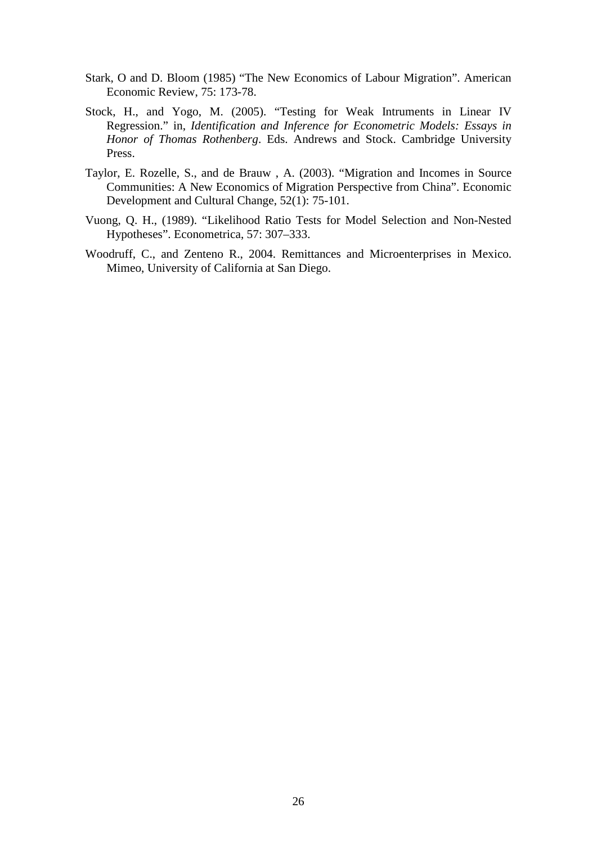- Stark, O and D. Bloom (1985) "The New Economics of Labour Migration". American Economic Review, 75: 173-78.
- Stock, H., and Yogo, M. (2005). "Testing for Weak Intruments in Linear IV Regression." in, *Identification and Inference for Econometric Models: Essays in Honor of Thomas Rothenberg*. Eds. Andrews and Stock. Cambridge University Press.
- Taylor, E. Rozelle, S., and de Brauw , A. (2003). "Migration and Incomes in Source Communities: A New Economics of Migration Perspective from China". Economic Development and Cultural Change, 52(1): 75-101.
- Vuong, Q. H., (1989). "Likelihood Ratio Tests for Model Selection and Non-Nested Hypotheses". Econometrica, 57: 307–333.
- Woodruff, C., and Zenteno R., 2004. Remittances and Microenterprises in Mexico. Mimeo, University of California at San Diego.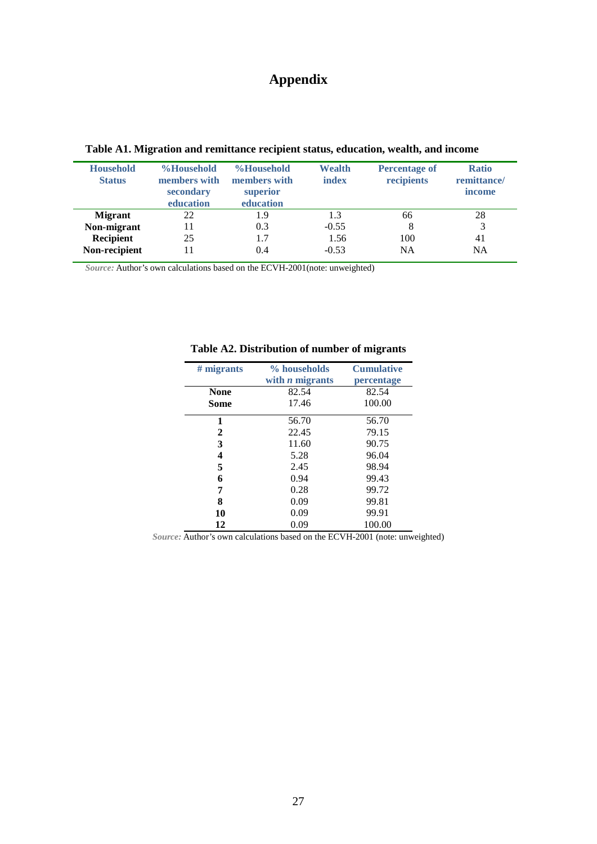## **Appendix**

| <b>Household</b><br><b>Status</b> | %Household<br>members with<br>secondary<br>education | %Household<br>members with<br>superior<br>education | Wealth<br>index | <b>Percentage of</b><br>recipients | <b>Ratio</b><br>remittance/<br>income |
|-----------------------------------|------------------------------------------------------|-----------------------------------------------------|-----------------|------------------------------------|---------------------------------------|
| <b>Migrant</b>                    | 22                                                   | 1.9                                                 | 1.3             | 66                                 | 28                                    |
| Non-migrant                       | 11                                                   | 0.3                                                 | $-0.55$         | 8                                  | $\mathbf{R}$                          |
| Recipient                         | 25                                                   | 1.7                                                 | 1.56            | 100                                | 41                                    |
| Non-recipient                     | -1                                                   | 0.4                                                 | $-0.53$         | <b>NA</b>                          | <b>NA</b>                             |

**Table A1. Migration and remittance recipient status, education, wealth, and income** 

*Source:* Author's own calculations based on the ECVH-2001(note: unweighted)

| $#$ migrants | % households           | <b>Cumulative</b>   |
|--------------|------------------------|---------------------|
|              | with <i>n</i> migrants | percentage<br>82.54 |
| None         | 82.54                  |                     |
| Some         | 17.46                  | 100.00              |
| 1            | 56.70                  | 56.70               |
| 2            | 22.45                  | 79.15               |
| 3            | 11.60                  | 90.75               |
| 4            | 5.28                   | 96.04               |
| 5            | 2.45                   | 98.94               |
| 6            | 0.94                   | 99.43               |
| 7            | 0.28                   | 99.72               |
| 8            | 0.09                   | 99.81               |
| 10           | 0.09                   | 99.91               |
| 12           | 0.09                   | 100.00              |

#### **Table A2. Distribution of number of migrants**

*Source:* Author's own calculations based on the ECVH-2001 (note: unweighted)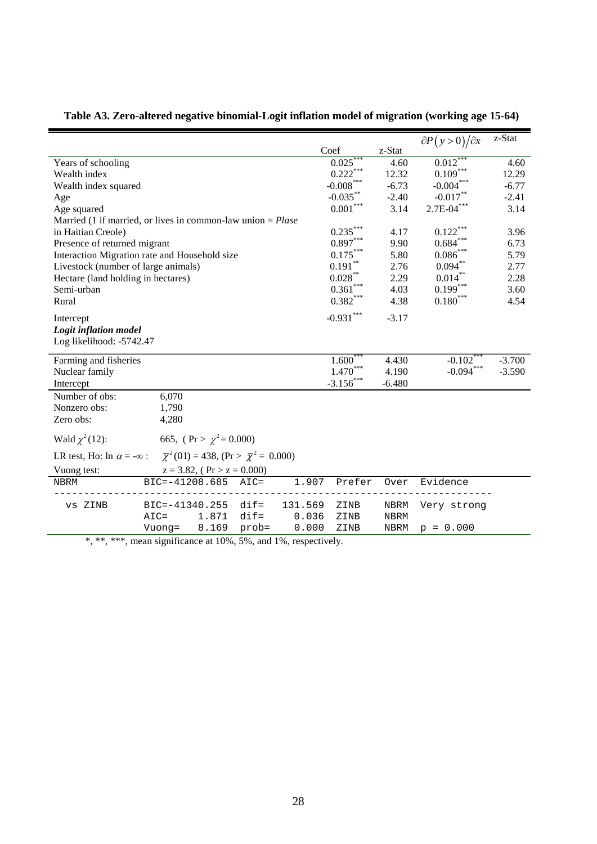|                                                                                                                 |                |                                  |         |         |                                                     |                | $\partial P(y>0)/\partial x$     | z-Stat               |
|-----------------------------------------------------------------------------------------------------------------|----------------|----------------------------------|---------|---------|-----------------------------------------------------|----------------|----------------------------------|----------------------|
|                                                                                                                 |                |                                  |         |         | Coef                                                | z-Stat         |                                  |                      |
| Years of schooling                                                                                              |                |                                  |         |         | 0.025                                               | 4.60           | 0.012                            | 4.60                 |
| Wealth index                                                                                                    |                |                                  |         |         | $0.222\sp{*}{^\ast\sp{*}}}$                         | 12.32          | $0.109^{***}$                    | 12.29                |
| Wealth index squared                                                                                            |                |                                  |         |         | $\textbf{-0.008}^{\ast\ast\ast}$                    | $-6.73$        | $\textbf{-0.004}^{\ast\ast\ast}$ | $-6.77$              |
| Age                                                                                                             |                |                                  |         |         | $-0.035***$                                         | $-2.40$        | $-0.017**$                       | $-2.41$              |
| Age squared                                                                                                     |                |                                  |         |         | $0.001^{\ast\ast\ast}$                              | 3.14           | $2.7E-04***$                     | 3.14                 |
| Married (1 if married, or lives in common-law union $=$ <i>Plase</i>                                            |                |                                  |         |         |                                                     |                |                                  |                      |
| in Haitian Creole)                                                                                              |                |                                  |         |         | $0.235^\ast{}^{\ast}{}^{\ast}$                      | 4.17           | $0.122\sp{*}{^\ast\sp{*}}$       | 3.96                 |
| Presence of returned migrant                                                                                    |                |                                  |         |         | $0.897^{\ast\ast\ast}$                              | 9.90           | $0.684^{\ast\ast\ast}$           | 6.73                 |
| Interaction Migration rate and Household size                                                                   |                |                                  |         |         | $0.175^{\ast\ast\ast}$                              | 5.80           | $0.086^{\ast\ast\ast}$           | 5.79                 |
| Livestock (number of large animals)                                                                             |                |                                  |         |         | $0.191^{\ast\ast}$                                  | 2.76           | $0.094^{\ast\ast}$               | 2.77                 |
| Hectare (land holding in hectares)                                                                              |                |                                  |         |         | $0.028***$                                          | 2.29           | $0.014***$                       | 2.28                 |
| Semi-urban                                                                                                      |                |                                  |         |         | $0.361***$                                          | 4.03           | $0.199***$                       | 3.60                 |
| Rural                                                                                                           |                |                                  |         |         | $0.382^{\ast\ast\ast}$                              | 4.38           | $0.180^{\ast\ast\ast}$           | 4.54                 |
| Intercept                                                                                                       |                |                                  |         |         | $-0.931***$                                         | $-3.17$        |                                  |                      |
| Logit inflation model                                                                                           |                |                                  |         |         |                                                     |                |                                  |                      |
| Log likelihood: -5742.47                                                                                        |                |                                  |         |         |                                                     |                |                                  |                      |
|                                                                                                                 |                |                                  |         |         |                                                     |                | $-0.102$ <sup>*</sup>            |                      |
| Farming and fisheries                                                                                           |                |                                  |         |         | $1.600^{\degree}$<br>$1.470^\ast{}^{\ast}{}^{\ast}$ | 4.430<br>4.190 | $-0.094***$                      | $-3.700$<br>$-3.590$ |
| Nuclear family                                                                                                  |                |                                  |         |         | $-3.156$ ***                                        | $-6.480$       |                                  |                      |
| Intercept                                                                                                       |                |                                  |         |         |                                                     |                |                                  |                      |
| Number of obs:                                                                                                  | 6,070          |                                  |         |         |                                                     |                |                                  |                      |
| Nonzero obs:                                                                                                    | 1,790          |                                  |         |         |                                                     |                |                                  |                      |
| Zero obs:                                                                                                       | 4,280          |                                  |         |         |                                                     |                |                                  |                      |
| Wald $\chi^2(12)$ :                                                                                             |                | 665, (Pr > $\chi^2$ = 0.000)     |         |         |                                                     |                |                                  |                      |
| LR test, Ho: $\ln \alpha = -\infty$ : $\overline{\chi}^2(01) = 438$ , $(\text{Pr} > \overline{\chi}^2 = 0.000)$ |                |                                  |         |         |                                                     |                |                                  |                      |
| Vuong test:                                                                                                     |                | $z = 3.82$ , (Pr > $z = 0.000$ ) |         |         |                                                     |                |                                  |                      |
| <b>NBRM</b>                                                                                                     | BIC=-41208.685 |                                  | $AIC =$ | 1.907   | Prefer                                              | Over           | Evidence                         |                      |
| vs ZINB                                                                                                         | BIC=-41340.255 |                                  | $dir =$ | 131.569 | ZINB                                                | NBRM           | Very strong                      |                      |
|                                                                                                                 | $AIC =$        | 1.871                            | $dir =$ | 0.036   | ZINB                                                | NBRM           |                                  |                      |
|                                                                                                                 | Vuong=         | 8.169                            | prob=   | 0.000   | ZINB                                                | <b>NBRM</b>    | $p = 0.000$                      |                      |
|                                                                                                                 |                |                                  |         |         |                                                     |                |                                  |                      |

**Table A3. Zero-altered negative binomial-Logit inflation model of migration (working age 15-64)**

\*, \*\*, \*\*\*, mean significance at 10%, 5%, and 1%, respectively.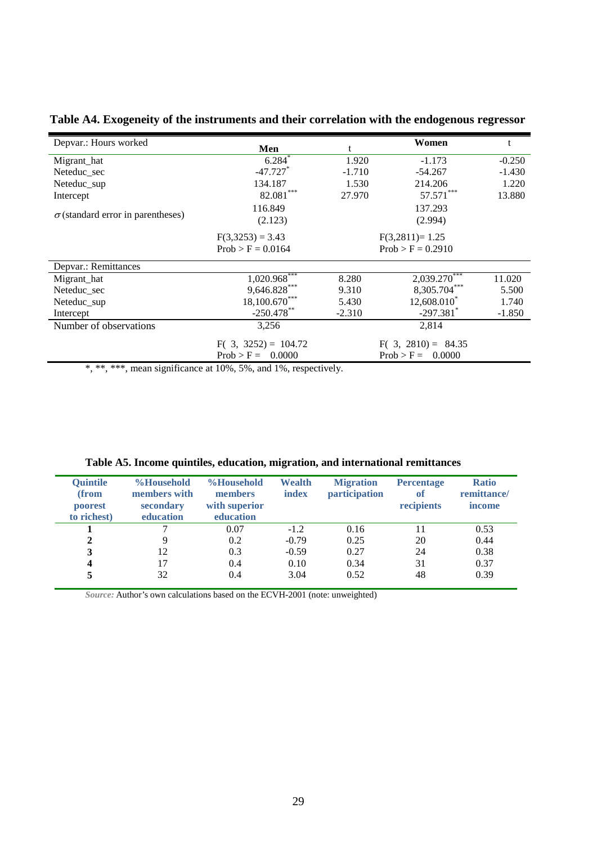| Depvar.: Hours worked                    |                             | Women    |                         |          |
|------------------------------------------|-----------------------------|----------|-------------------------|----------|
|                                          | Men                         |          |                         |          |
| Migrant_hat                              | 6.284                       | 1.920    | $-1.173$                | $-0.250$ |
| Neteduc sec                              | $-47.727$ <sup>*</sup>      | $-1.710$ | $-54.267$               | $-1.430$ |
| Neteduc_sup                              | 134.187                     | 1.530    | 214.206                 | 1.220    |
| Intercept                                | 82.081***                   | 27.970   | $57.571***$             | 13.880   |
|                                          | 116.849                     |          | 137.293                 |          |
| $\sigma$ (standard error in parentheses) | (2.123)                     |          | (2.994)                 |          |
|                                          | $F(3,3253) = 3.43$          |          | $F(3,2811)=1.25$        |          |
|                                          | $Prob > F = 0.0164$         |          | $Prob > F = 0.2910$     |          |
| Depvar.: Remittances                     |                             |          |                         |          |
| Migrant_hat                              | $1,020.968$ <sup>****</sup> | 8.280    | $2,039.270***$          | 11.020   |
| Neteduc sec                              | 9,646.828***                | 9.310    | 8,305.704***            | 5.500    |
| Neteduc_sup                              | 18,100.670***               | 5.430    | 12,608.010              | 1.740    |
| Intercept                                | $-250.478$ **               | $-2.310$ | $-297.381$ <sup>*</sup> | $-1.850$ |
| Number of observations                   | 3,256                       |          | 2,814                   |          |
|                                          | $F(3, 3252) = 104.72$       |          | $F(3, 2810) = 84.35$    |          |
|                                          | $Prob > F =$<br>0.0000      |          | $Prob > F =$<br>0.0000  |          |

**Table A4. Exogeneity of the instruments and their correlation with the endogenous regressor**

\*, \*\*, \*\*\*, mean significance at 10%, 5%, and 1%, respectively.

| <b>Quintile</b><br>(from<br>poorest<br>to richest) | %Household<br>members with<br>secondary<br>education | %Household<br>members<br>with superior<br>education | Wealth<br>index | <b>Migration</b><br>participation | <b>Percentage</b><br>of<br>recipients | <b>Ratio</b><br>remittance/<br>income |
|----------------------------------------------------|------------------------------------------------------|-----------------------------------------------------|-----------------|-----------------------------------|---------------------------------------|---------------------------------------|
|                                                    |                                                      | 0.07                                                | $-1.2$          | 0.16                              | 11                                    | 0.53                                  |
| $\mathbf{2}$                                       | 9                                                    | 0.2                                                 | $-0.79$         | 0.25                              | 20                                    | 0.44                                  |
| 3                                                  | 12                                                   | 0.3                                                 | $-0.59$         | 0.27                              | 24                                    | 0.38                                  |
| $\boldsymbol{4}$                                   | 17                                                   | 0.4                                                 | 0.10            | 0.34                              | 31                                    | 0.37                                  |
|                                                    | 32                                                   | 0.4                                                 | 3.04            | 0.52                              | 48                                    | 0.39                                  |

**Table A5. Income quintiles, education, migration, and international remittances** 

*Source:* Author's own calculations based on the ECVH-2001 (note: unweighted)